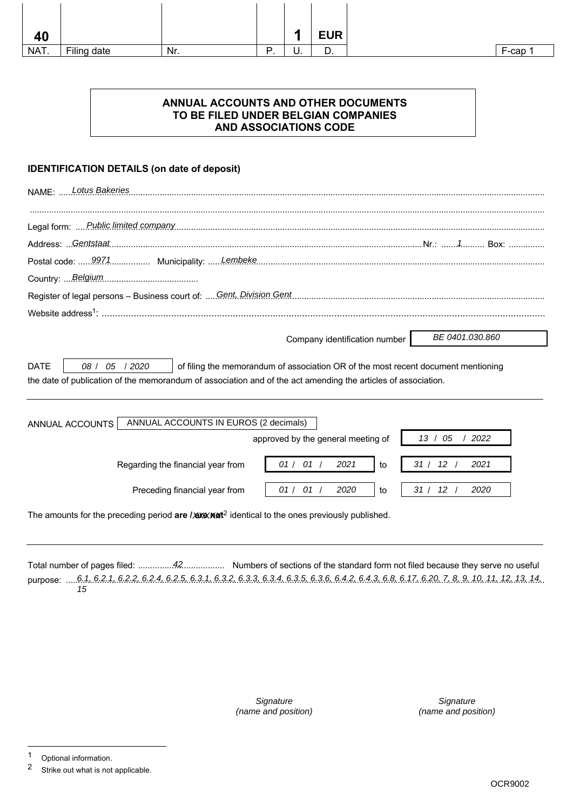| 40   |             |     |          | п  | <b>EUR</b> |
|------|-------------|-----|----------|----|------------|
| NAT. | Filing date | Nr. | D<br>. . | υ. | 宀<br>υ.    |

# **ANNUAL ACCOUNTS AND OTHER DOCUMENTS TO BE FILED UNDER BELGIAN COMPANIES AND ASSOCIATIONS CODE**

# **IDENTIFICATION DETAILS (on date of deposit)**

| <b>Lotus Bakeries</b><br><b>NAME: </b>                                                                                                                                                                                              |
|-------------------------------------------------------------------------------------------------------------------------------------------------------------------------------------------------------------------------------------|
|                                                                                                                                                                                                                                     |
|                                                                                                                                                                                                                                     |
| Address: Gentstaat                                                                                                                                                                                                                  |
|                                                                                                                                                                                                                                     |
|                                                                                                                                                                                                                                     |
| Register of legal persons - Business court of:  Gent, Division Gent                                                                                                                                                                 |
|                                                                                                                                                                                                                                     |
| BE 0401.030.860<br>Company identification number                                                                                                                                                                                    |
| <b>DATE</b><br>08 / 05 / 2020<br>of filing the memorandum of association OR of the most recent document mentioning<br>the date of publication of the memorandum of association and of the act amending the articles of association. |
| ANNUAL ACCOUNTS IN EUROS (2 decimals)<br>ANNUAL ACCOUNTS                                                                                                                                                                            |
| approved by the general meeting of<br>13 / 05<br>2022                                                                                                                                                                               |
| 01 / 01 /<br>31 / 12 /<br>2021<br>2021<br>Regarding the financial year from<br>to                                                                                                                                                   |
| 01 / 01 /<br>2020<br>31/<br>12 <sup>12</sup><br>2020<br>Preceding financial year from<br>to                                                                                                                                         |
| The amounts for the preceding period are / axe/nat <sup>2</sup> identical to the ones previously published.                                                                                                                         |

Total number of pages filed: .................................... Numbers of sections of the standard form not filed because they serve no useful 42 purpose: .... 6.1, 6.2.1, 6.2.2, 6.2.4, 6.2.5, 6.3.1, 6.3.2, 6.3.3, 6.3.4, 6.3.5, 6.3.6, 6.4.2, 6.4.3, 6.8, 6.17, 6.20, 7, 8, 9, 10, 11, 12, 13, 14, 15

> **Signature** (name and position)

**Signature** (name and position)

<sup>1</sup> Optional information.<br>2 Strike out what is not

Strike out what is not applicable.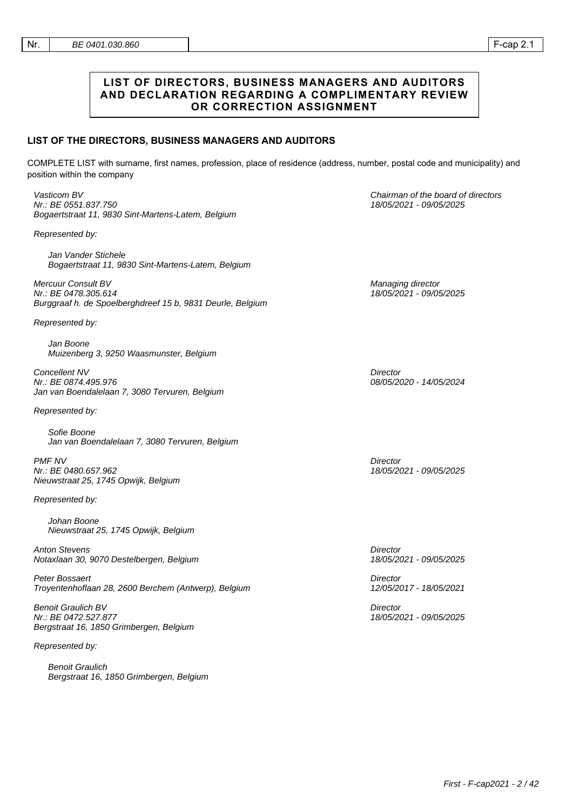### **LIST OF DIRECTORS, BUSINESS MANAGERS AND AUDITORS AND DECLARATION REGARDING A COMPLIMENTARY REVIEW OR CORRECTION ASSIGNMENT**

### **LIST OF THE DIRECTORS, BUSINESS MANAGERS AND AUDITORS**

COMPLETE LIST with surname, first names, profession, place of residence (address, number, postal code and municipality) and position within the company

Vasticom BV Nr.: BE 0551.837.750 Bogaertstraat 11, 9830 Sint-Martens-Latem, Belgium

Represented by:

Jan Vander Stichele Bogaertstraat 11, 9830 Sint-Martens-Latem, Belgium

Mercuur Consult BV Nr.: BE 0478.305.614 Burggraaf h. de Spoelberghdreef 15 b, 9831 Deurle, Belgium

Represented by:

Jan Boone Muizenberg 3, 9250 Waasmunster, Belgium

Concellent NV Nr.: BE 0874.495.976 Jan van Boendalelaan 7, 3080 Tervuren, Belgium

Represented by:

Sofie Boone Jan van Boendalelaan 7, 3080 Tervuren, Belgium

PMF NV Nr.: BE 0480.657.962 Nieuwstraat 25, 1745 Opwijk, Belgium

Represented by:

Johan Boone Nieuwstraat 25, 1745 Opwijk, Belgium

Anton Stevens Notaxlaan 30, 9070 Destelbergen, Belgium

Peter Bossaert Troyentenhoflaan 28, 2600 Berchem (Antwerp), Belgium

Benoit Graulich BV Nr.: BE 0472.527.877 Bergstraat 16, 1850 Grimbergen, Belgium

Represented by:

Benoit Graulich Bergstraat 16, 1850 Grimbergen, Belgium Chairman of the board of directors 18/05/2021 - 09/05/2025

Managing director 18/05/2021 - 09/05/2025

**Director** 08/05/2020 - 14/05/2024

**Director** 18/05/2021 - 09/05/2025

**Director** 18/05/2021 - 09/05/2025

**Director** 12/05/2017 - 18/05/2021

**Director** 18/05/2021 - 09/05/2025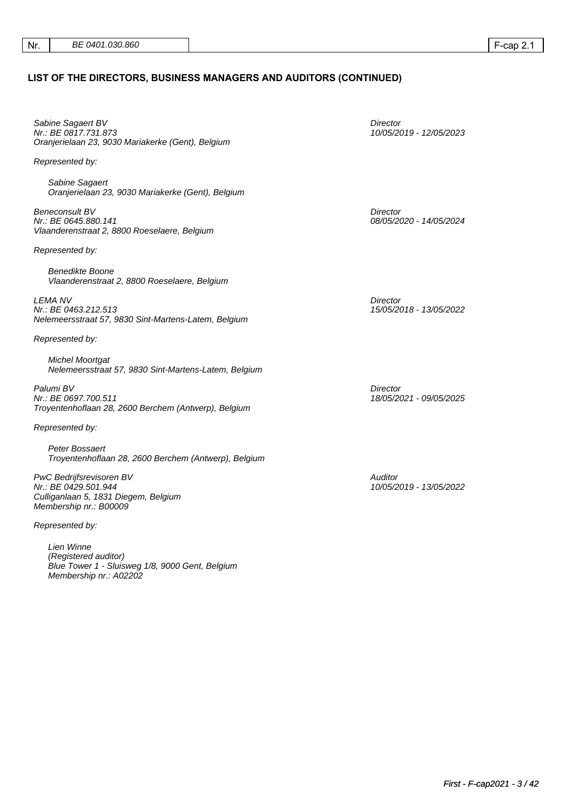### **LIST OF THE DIRECTORS, BUSINESS MANAGERS AND AUDITORS (CONTINUED)**

Sabine Sagaert BV Nr.: BE 0817.731.873 Oranjerielaan 23, 9030 Mariakerke (Gent), Belgium

Represented by:

Sabine Sagaert Oranjerielaan 23, 9030 Mariakerke (Gent), Belgium

Beneconsult BV Nr.: BE 0645.880.141 Vlaanderenstraat 2, 8800 Roeselaere, Belgium

Represented by:

Benedikte Boone Vlaanderenstraat 2, 8800 Roeselaere, Belgium

LEMA NV Nr.: BE 0463.212.513 Nelemeersstraat 57, 9830 Sint-Martens-Latem, Belgium

Represented by:

Michel Moortgat Nelemeersstraat 57, 9830 Sint-Martens-Latem, Belgium

Palumi BV Nr.: BE 0697.700.511 Troyentenhoflaan 28, 2600 Berchem (Antwerp), Belgium

Represented by:

Peter Bossaert Troyentenhoflaan 28, 2600 Berchem (Antwerp), Belgium

PwC Bedrijfsrevisoren BV Nr.: BE 0429.501.944 Culliganlaan 5, 1831 Diegem, Belgium Membership nr.: B00009

Represented by:

Lien Winne (Registered auditor) Blue Tower 1 - Sluisweg 1/8, 9000 Gent, Belgium Membership nr.: A02202

**Director** 10/05/2019 - 12/05/2023

**Director** 08/05/2020 - 14/05/2024

**Director** 15/05/2018 - 13/05/2022

**Director** 18/05/2021 - 09/05/2025

**Auditor** 10/05/2019 - 13/05/2022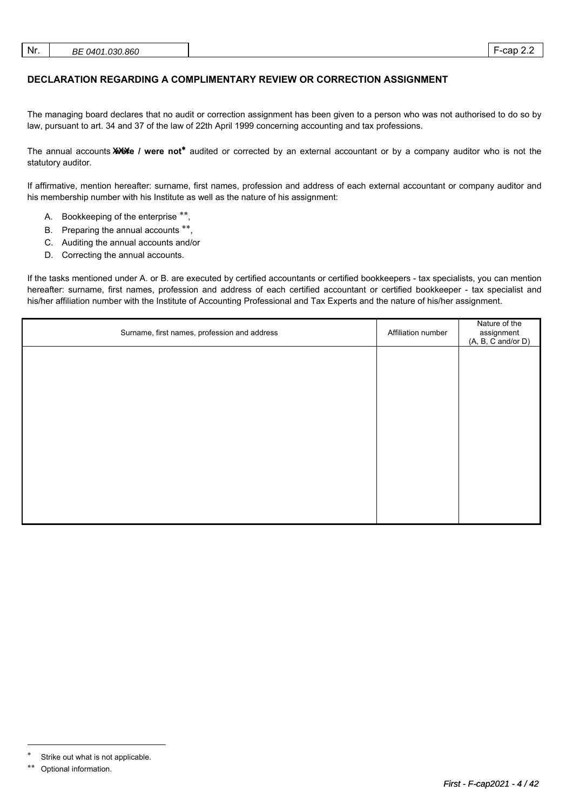| Nr. | BE 0401.030.860 |  | cap | <u>.</u> |
|-----|-----------------|--|-----|----------|
|-----|-----------------|--|-----|----------|

# **DECLARATION REGARDING A COMPLIMENTARY REVIEW OR CORRECTION ASSIGNMENT**

The managing board declares that no audit or correction assignment has been given to a person who was not authorised to do so by law, pursuant to art. 34 and 37 of the law of 22th April 1999 concerning accounting and tax professions.

The annual accounts **XXX** / were not<sup>\*</sup> audited or corrected by an external accountant or by a company auditor who is not the statutory auditor.

If affirmative, mention hereafter: surname, first names, profession and address of each external accountant or company auditor and his membership number with his Institute as well as the nature of his assignment:

- A. Bookkeeping of the enterprise \*\*,
- B. Preparing the annual accounts \*\*,
- C. Auditing the annual accounts and/or
- D. Correcting the annual accounts.

If the tasks mentioned under A. or B. are executed by certified accountants or certified bookkeepers - tax specialists, you can mention hereafter: surname, first names, profession and address of each certified accountant or certified bookkeeper - tax specialist and his/her affiliation number with the Institute of Accounting Professional and Tax Experts and the nature of his/her assignment.

| Surname, first names, profession and address | Affiliation number | Nature of the<br>assignment<br>(A, B, C and/or D) |
|----------------------------------------------|--------------------|---------------------------------------------------|
|                                              |                    |                                                   |
|                                              |                    |                                                   |
|                                              |                    |                                                   |
|                                              |                    |                                                   |
|                                              |                    |                                                   |
|                                              |                    |                                                   |
|                                              |                    |                                                   |

 $\overline{a}$ 

Strike out what is not applicable.

Optional information.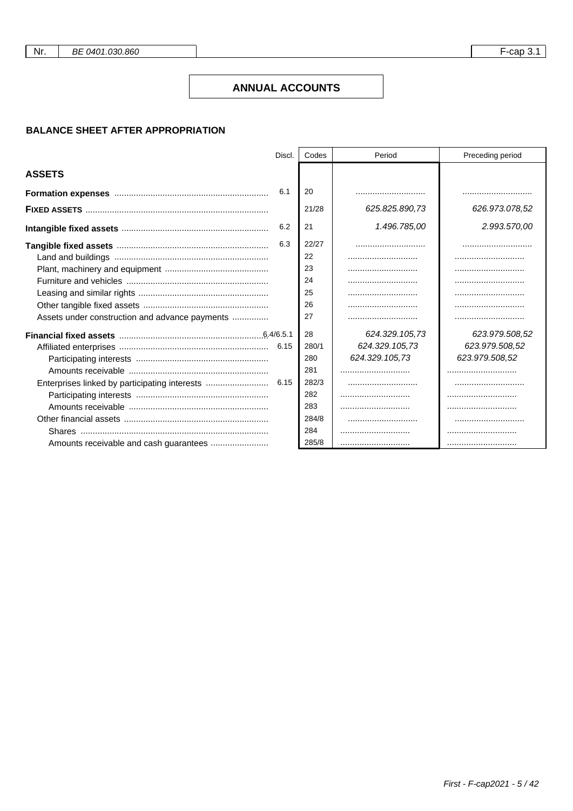Nr.

### **ANNUAL ACCOUNTS**

# **BALANCE SHEET AFTER APPROPRIATION**

|                                                | Discl. | Codes | Period         | Preceding period |
|------------------------------------------------|--------|-------|----------------|------------------|
| <b>ASSETS</b>                                  |        |       |                |                  |
|                                                | 6.1    | 20    |                |                  |
|                                                |        | 21/28 | 625.825.890,73 | 626.973.078.52   |
|                                                | 6.2    | 21    | 1.496.785,00   | 2.993.570,00     |
|                                                | 6.3    | 22/27 |                |                  |
|                                                |        | 22    |                |                  |
|                                                |        | 23    |                |                  |
|                                                |        | 24    |                |                  |
|                                                |        | 25    |                |                  |
|                                                |        | 26    |                |                  |
| Assets under construction and advance payments |        | 27    |                |                  |
|                                                |        | 28    | 624.329.105.73 | 623.979.508.52   |
|                                                | 6.15   | 280/1 | 624.329.105,73 | 623.979.508,52   |
|                                                |        | 280   | 624.329.105,73 | 623.979.508,52   |
|                                                |        | 281   |                |                  |
|                                                |        | 282/3 |                |                  |
|                                                |        | 282   |                |                  |
|                                                |        | 283   |                |                  |
|                                                |        | 284/8 |                |                  |
|                                                |        | 284   |                |                  |
|                                                |        | 285/8 |                |                  |

 $F$ -cap 3.1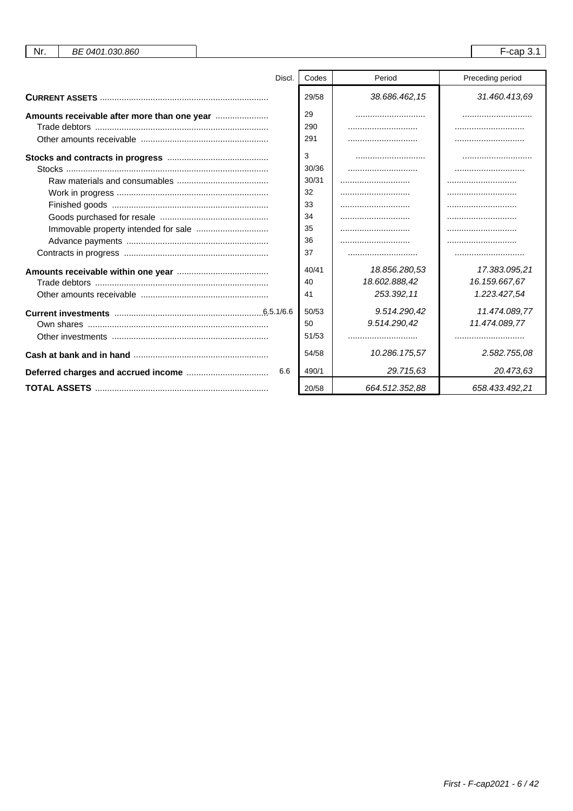| Nr.<br>BE 0401.030.860                      |        |       |                | $F$ -cap 3.1     |
|---------------------------------------------|--------|-------|----------------|------------------|
|                                             | Discl. | Codes | Period         | Preceding period |
|                                             |        | 29/58 | 38.686.462,15  | 31.460.413.69    |
| Amounts receivable after more than one year |        | 29    |                |                  |
|                                             |        | 290   |                |                  |
|                                             |        | 291   |                |                  |
|                                             |        | 3     |                |                  |
|                                             |        | 30/36 |                |                  |
|                                             |        | 30/31 |                |                  |
|                                             |        | 32    |                |                  |
|                                             |        | 33    |                |                  |
|                                             |        | 34    |                |                  |
|                                             |        | 35    |                |                  |
|                                             |        | 36    |                |                  |
|                                             |        | 37    |                |                  |
|                                             |        | 40/41 | 18.856.280,53  | 17.383.095,21    |
|                                             |        | 40    | 18.602.888,42  | 16.159.667,67    |
|                                             |        | 41    | 253.392,11     | 1.223.427,54     |
|                                             |        | 50/53 | 9.514.290,42   | 11.474.089,77    |
|                                             |        | 50    | 9.514.290,42   | 11.474.089,77    |
|                                             |        | 51/53 |                |                  |
|                                             |        | 54/58 | 10.286.175,57  | 2.582.755,08     |
|                                             | 6.6    | 490/1 | 29.715.63      | 20.473.63        |
|                                             |        | 20/58 | 664.512.352,88 | 658.433.492,21   |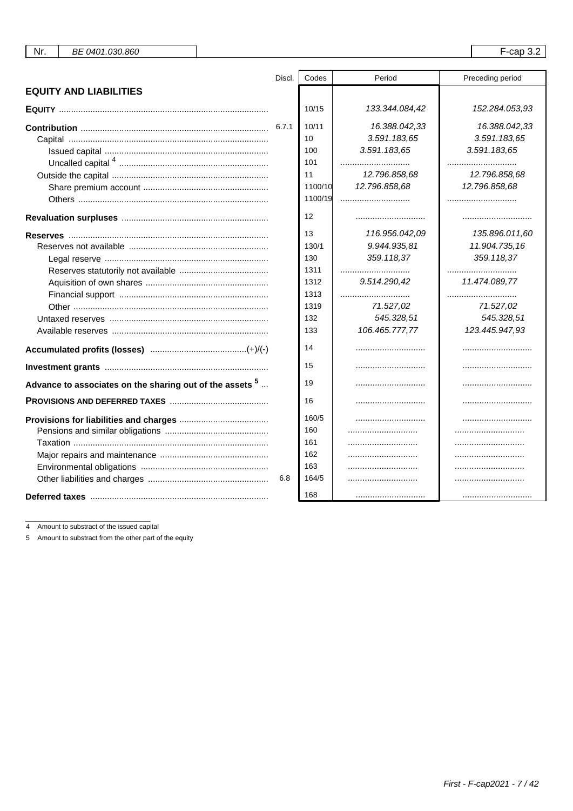| Nr.<br>BE 0401.030.860                                     |        |                                                                        |                                                                                                                   | $F$ -cap 3.2                                                                                                        |
|------------------------------------------------------------|--------|------------------------------------------------------------------------|-------------------------------------------------------------------------------------------------------------------|---------------------------------------------------------------------------------------------------------------------|
|                                                            | Discl. | Codes                                                                  | Period                                                                                                            | Preceding period                                                                                                    |
| <b>EQUITY AND LIABILITIES</b>                              |        |                                                                        |                                                                                                                   |                                                                                                                     |
|                                                            |        | 10/15                                                                  | 133.344.084,42                                                                                                    | 152.284.053,93                                                                                                      |
|                                                            |        | 10/11<br>10<br>100<br>101<br>11<br>1100/10<br>1100/19                  | 16.388.042,33<br>3.591.183,65<br>3.591.183,65<br><br>12.796.858,68<br>12.796.858,68                               | 16.388.042,33<br>3.591.183,65<br>3.591.183,65<br><br>12.796.858,68<br>12.796.858,68<br>                             |
|                                                            |        | 12                                                                     |                                                                                                                   |                                                                                                                     |
|                                                            |        | 13<br>130/1<br>130<br>1311<br>1312<br>1313<br>1319<br>132<br>133<br>14 | 116.956.042,09<br>9.944.935,81<br>359.118,37<br><br>9.514.290,42<br><br>71.527,02<br>545.328,51<br>106.465.777,77 | 135.896.011,60<br>11.904.735,16<br>359.118,37<br><br>11.474.089,77<br><br>71.527,02<br>545.328,51<br>123.445.947,93 |
|                                                            |        | 15                                                                     |                                                                                                                   |                                                                                                                     |
| Advance to associates on the sharing out of the assets $5$ |        | 19                                                                     |                                                                                                                   |                                                                                                                     |
|                                                            |        | 16                                                                     |                                                                                                                   |                                                                                                                     |
|                                                            | 6.8    | 160/5<br>160<br>161<br>162<br>163<br>164/5                             | <br>                                                                                                              |                                                                                                                     |
|                                                            |        | 168                                                                    |                                                                                                                   |                                                                                                                     |
|                                                            |        |                                                                        |                                                                                                                   |                                                                                                                     |

4 Amount to substract of the issued capital

5 Amount to substract from the other part of the equity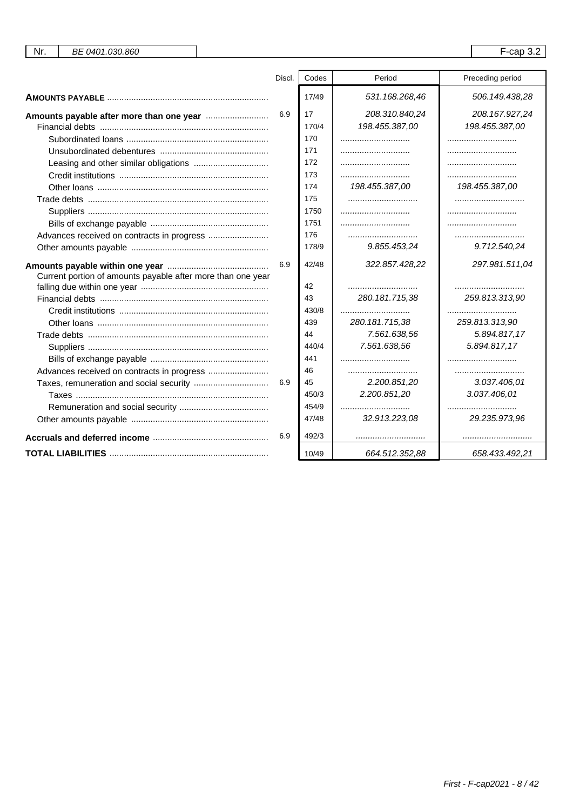| Nr.<br>BE 0401.030.860                                      |     |       |                | $F$ -cap 3.2     |
|-------------------------------------------------------------|-----|-------|----------------|------------------|
|                                                             |     |       |                |                  |
|                                                             |     | Codes | Period         | Preceding period |
|                                                             |     | 17/49 | 531.168.268,46 | 506.149.438,28   |
|                                                             | 6.9 | 17    | 208.310.840,24 | 208.167.927,24   |
|                                                             |     | 170/4 | 198.455.387,00 | 198.455.387,00   |
|                                                             |     | 170   |                |                  |
|                                                             |     | 171   |                |                  |
|                                                             |     | 172   |                |                  |
|                                                             |     | 173   |                |                  |
|                                                             |     | 174   | 198.455.387,00 | 198.455.387,00   |
|                                                             |     | 175   |                |                  |
|                                                             |     | 1750  |                |                  |
|                                                             |     | 1751  |                |                  |
|                                                             |     | 176   |                |                  |
|                                                             |     | 178/9 | 9.855.453,24   | 9.712.540,24     |
|                                                             | 6.9 | 42/48 | 322.857.428,22 | 297.981.511,04   |
| Current portion of amounts payable after more than one year |     |       |                |                  |
|                                                             |     | 42    |                |                  |
|                                                             |     | 43    | 280.181.715,38 | 259.813.313,90   |
|                                                             |     | 430/8 |                |                  |
|                                                             |     | 439   | 280.181.715,38 | 259.813.313,90   |
|                                                             |     | 44    | 7.561.638,56   | 5.894.817,17     |
|                                                             |     | 440/4 | 7.561.638,56   | 5.894.817,17     |
|                                                             |     | 441   |                |                  |
| Advances received on contracts in progress                  |     | 46    |                |                  |
|                                                             | 6.9 | 45    | 2.200.851,20   | 3.037.406,01     |
|                                                             |     | 450/3 | 2.200.851,20   | 3.037.406,01     |
|                                                             |     | 454/9 |                |                  |
|                                                             |     | 47/48 | 32.913.223,08  | 29.235.973,96    |
|                                                             | 6.9 | 492/3 |                |                  |
|                                                             |     | 10/49 | 664.512.352,88 | 658.433.492,21   |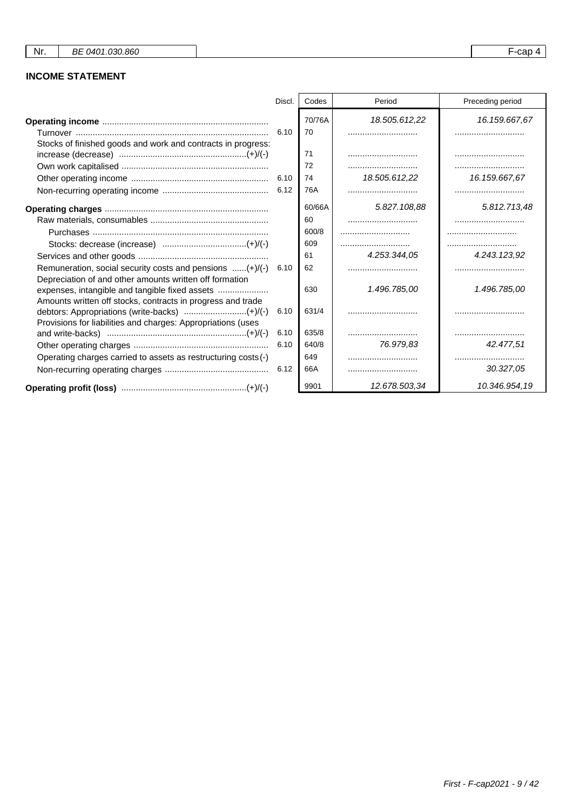# **INCOME STATEMENT**

|                                                                                                                         | Discl. | Codes        | Period        | Preceding period  |
|-------------------------------------------------------------------------------------------------------------------------|--------|--------------|---------------|-------------------|
| Stocks of finished goods and work and contracts in progress:                                                            | 6.10   | 70/76A<br>70 | 18.505.612,22 | 16.159.667,67<br> |
|                                                                                                                         |        | 71           |               |                   |
|                                                                                                                         |        | 72           |               |                   |
|                                                                                                                         | 6.10   | 74           | 18.505.612.22 | 16.159.667,67     |
|                                                                                                                         |        | 76A          |               |                   |
|                                                                                                                         |        | 60/66A       | 5.827.108.88  | 5.812.713,48      |
|                                                                                                                         |        | 60           |               |                   |
|                                                                                                                         |        | 600/8        |               |                   |
|                                                                                                                         |        | 609          |               |                   |
|                                                                                                                         |        | 61           | 4.253.344.05  | 4.243.123,92      |
| Remuneration, social security costs and pensions $(+) / (-)$<br>Depreciation of and other amounts written off formation | 6.10   | 62           |               |                   |
| Amounts written off stocks, contracts in progress and trade                                                             |        | 630          | 1.496.785,00  | 1.496.785,00      |
| Provisions for liabilities and charges: Appropriations (uses                                                            | 6.10   | 631/4        |               |                   |
|                                                                                                                         | 6.10   | 635/8        |               |                   |
|                                                                                                                         | 6.10   | 640/8        | 76.979.83     | 42.477.51         |
| Operating charges carried to assets as restructuring costs (-)                                                          |        | 649          |               |                   |
|                                                                                                                         | 6.12   | 66A          |               | 30.327,05         |
|                                                                                                                         |        | 9901         | 12.678.503,34 | 10.346.954,19     |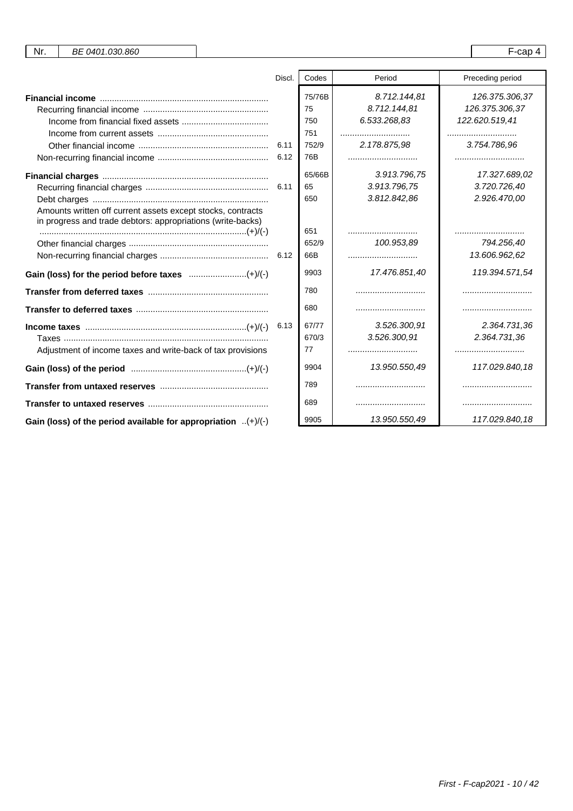| Nr. | BE 0401.030.860 |  | $\sim$<br>uau |  |
|-----|-----------------|--|---------------|--|
|-----|-----------------|--|---------------|--|

|                                                                                                                            | Discl. | Codes                                      | Period                                                           | Preceding period                                                           |
|----------------------------------------------------------------------------------------------------------------------------|--------|--------------------------------------------|------------------------------------------------------------------|----------------------------------------------------------------------------|
|                                                                                                                            | 6.11   | 75/76B<br>75<br>750<br>751<br>752/9<br>76B | 8.712.144.81<br>8.712.144.81<br>6.533.268,83<br><br>2.178.875,98 | 126.375.306,37<br>126.375.306,37<br>122.620.519,41<br><br>3.754.786,96<br> |
| Amounts written off current assets except stocks, contracts<br>in progress and trade debtors: appropriations (write-backs) |        | 65/66B<br>65<br>650                        | 3.913.796,75<br>3.913.796,75<br>3.812.842,86                     | 17.327.689,02<br>3.720.726,40<br>2.926.470,00                              |
|                                                                                                                            |        | 651<br>652/9<br>66B<br>9903                | 100.953.89<br><br>17.476.851,40                                  | <br>794.256,40<br>13.606.962,62<br>119.394.571.54                          |
|                                                                                                                            |        | 780                                        |                                                                  |                                                                            |
|                                                                                                                            |        | 680                                        |                                                                  |                                                                            |
| Adjustment of income taxes and write-back of tax provisions                                                                | 6.13   | 67/77<br>670/3<br>77                       | 3.526.300.91<br>3.526.300,91                                     | 2.364.731,36<br>2.364.731.36                                               |
|                                                                                                                            |        | 9904                                       | 13.950.550,49                                                    | 117.029.840,18                                                             |
|                                                                                                                            |        | 789                                        |                                                                  |                                                                            |
|                                                                                                                            |        | 689                                        |                                                                  |                                                                            |
| Gain (loss) of the period available for appropriation $(+)/(-)$                                                            |        | 9905                                       | 13.950.550.49                                                    | 117.029.840,18                                                             |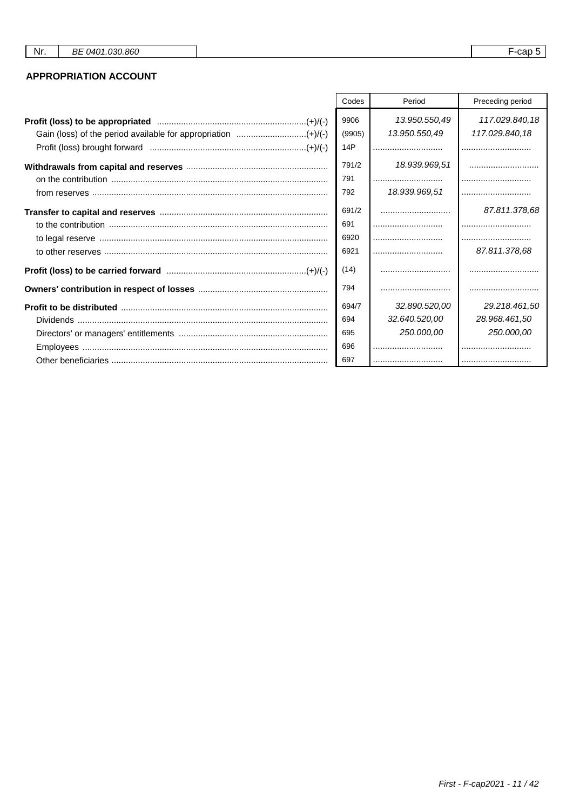# **APPROPRIATION ACCOUNT**

| Codes  | Period        | Preceding period |
|--------|---------------|------------------|
| 9906   | 13.950.550,49 | 117.029.840,18   |
| (9905) | 13.950.550,49 | 117.029.840,18   |
| 14P    |               |                  |
| 791/2  | 18.939.969,51 |                  |
| 791    |               |                  |
| 792    | 18.939.969,51 |                  |
| 691/2  |               | 87.811.378,68    |
| 691    |               |                  |
| 6920   |               |                  |
| 6921   |               | 87.811.378,68    |
| (14)   |               |                  |
| 794    |               |                  |
| 694/7  | 32.890.520,00 | 29.218.461.50    |
| 694    | 32.640.520,00 | 28.968.461,50    |
| 695    | 250.000,00    | 250.000,00       |
| 696    |               |                  |
| 697    |               |                  |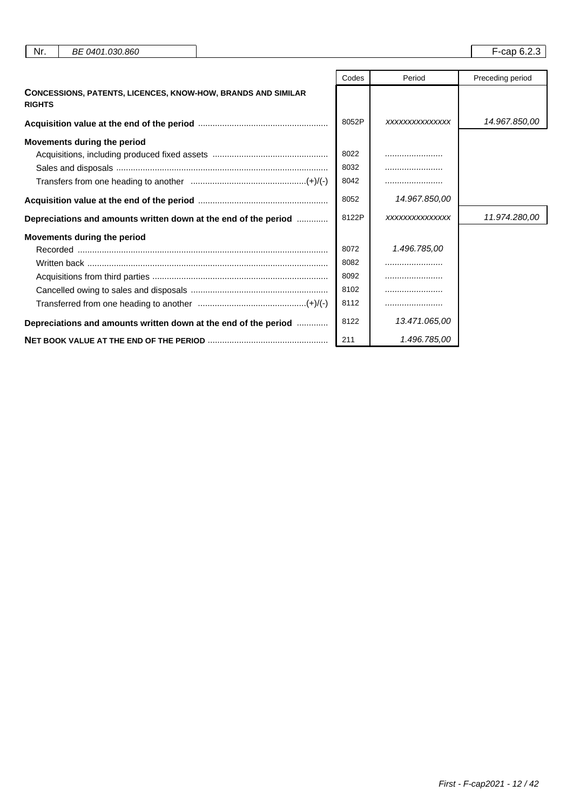| Nr.           | BE 0401.030.860                                                     |       |                | F-cap 6.2.3      |
|---------------|---------------------------------------------------------------------|-------|----------------|------------------|
|               |                                                                     | Codes | Period         | Preceding period |
| <b>RIGHTS</b> | <b>CONCESSIONS, PATENTS, LICENCES, KNOW-HOW, BRANDS AND SIMILAR</b> |       |                |                  |
|               |                                                                     | 8052P | XXXXXXXXXXXXXX | 14.967.850,00    |
|               | Movements during the period                                         |       |                |                  |
|               |                                                                     | 8022  |                |                  |
|               |                                                                     | 8032  |                |                  |
|               |                                                                     | 8042  |                |                  |
|               |                                                                     | 8052  | 14.967.850,00  |                  |
|               | Depreciations and amounts written down at the end of the period     | 8122P | XXXXXXXXXXXXXX | 11.974.280,00    |
|               | <b>Movements during the period</b>                                  |       |                |                  |
|               |                                                                     | 8072  | 1.496.785,00   |                  |
|               |                                                                     | 8082  |                |                  |
|               |                                                                     | 8092  |                |                  |
|               |                                                                     | 8102  |                |                  |
|               |                                                                     | 8112  |                |                  |
|               | Depreciations and amounts written down at the end of the period     | 8122  | 13.471.065,00  |                  |
|               |                                                                     | 211   | 1.496.785,00   |                  |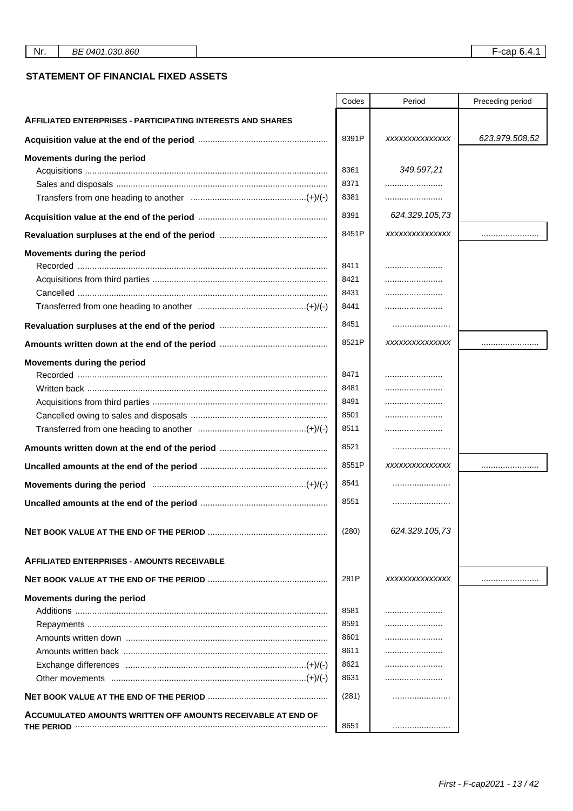## **STATEMENT OF FINANCIAL FIXED ASSETS**

|                                                                    | Codes | Period         | Preceding period |
|--------------------------------------------------------------------|-------|----------------|------------------|
| <b>AFFILIATED ENTERPRISES - PARTICIPATING INTERESTS AND SHARES</b> |       |                |                  |
|                                                                    | 8391P | XXXXXXXXXXXXXX | 623.979.508,52   |
| Movements during the period                                        |       |                |                  |
|                                                                    | 8361  | 349.597,21     |                  |
|                                                                    | 8371  |                |                  |
|                                                                    | 8381  |                |                  |
|                                                                    | 8391  | 624.329.105,73 |                  |
|                                                                    | 8451P | XXXXXXXXXXXXXX |                  |
| Movements during the period                                        |       |                |                  |
|                                                                    | 8411  |                |                  |
|                                                                    | 8421  |                |                  |
|                                                                    | 8431  |                |                  |
|                                                                    | 8441  |                |                  |
|                                                                    | 8451  |                |                  |
|                                                                    | 8521P | XXXXXXXXXXXXXX |                  |
| Movements during the period                                        |       |                |                  |
|                                                                    | 8471  |                |                  |
|                                                                    | 8481  |                |                  |
|                                                                    | 8491  |                |                  |
|                                                                    | 8501  |                |                  |
|                                                                    | 8511  |                |                  |
|                                                                    | 8521  |                |                  |
|                                                                    | 8551P | XXXXXXXXXXXXXX |                  |
|                                                                    | 8541  |                |                  |
|                                                                    | 8551  |                |                  |
|                                                                    | (280) | 624.329.105,73 |                  |
| <b>AFFILIATED ENTERPRISES - AMOUNTS RECEIVABLE</b>                 |       |                |                  |
|                                                                    | 281P  | XXXXXXXXXXXXXX |                  |
| Movements during the period                                        |       |                |                  |
|                                                                    | 8581  |                |                  |
|                                                                    | 8591  |                |                  |
|                                                                    | 8601  |                |                  |
|                                                                    | 8611  |                |                  |
|                                                                    | 8621  |                |                  |
|                                                                    | 8631  |                |                  |
|                                                                    | (281) |                |                  |
| ACCUMULATED AMOUNTS WRITTEN OFF AMOUNTS RECEIVABLE AT END OF       | 8651  |                |                  |
|                                                                    |       |                |                  |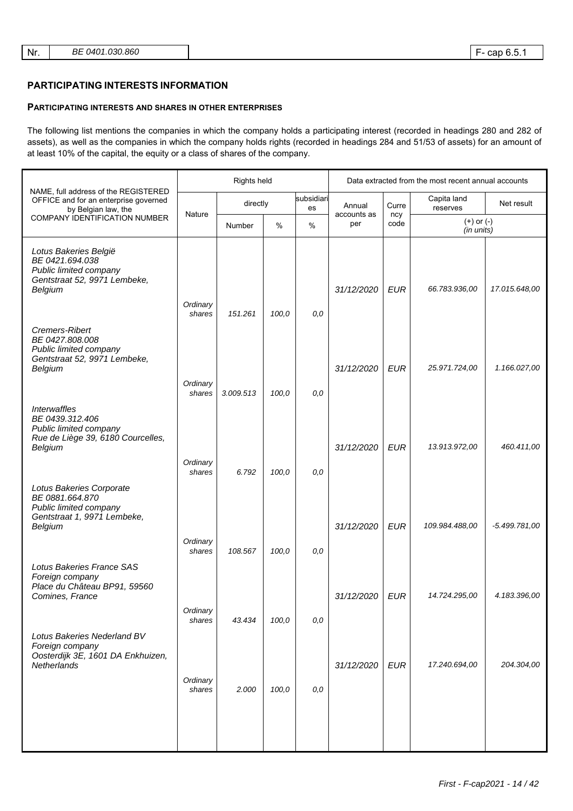### **PARTICIPATING INTERESTS INFORMATION**

### **PARTICIPATING INTERESTS AND SHARES IN OTHER ENTERPRISES**

The following list mentions the companies in which the company holds a participating interest (recorded in headings 280 and 282 of assets), as well as the companies in which the company holds rights (recorded in headings 284 and 51/53 of assets) for an amount of at least 10% of the capital, the equity or a class of shares of the company.

|                                                                                                                                              |                    | Rights held |       |                  |                    | Data extracted from the most recent annual accounts |                              |                 |  |
|----------------------------------------------------------------------------------------------------------------------------------------------|--------------------|-------------|-------|------------------|--------------------|-----------------------------------------------------|------------------------------|-----------------|--|
| NAME, full address of the REGISTERED<br>OFFICE and for an enterprise governed<br>by Belgian law, the                                         |                    | directly    |       | subsidiari<br>es | Annual             | Curre                                               | Capita land<br>reserves      | Net result      |  |
| <b>COMPANY IDENTIFICATION NUMBER</b>                                                                                                         | Nature             | Number      | %     | %                | accounts as<br>per | ncy<br>code                                         | $(+)$ or $(-)$<br>(in units) |                 |  |
| Lotus Bakeries België<br>BE 0421.694.038<br>Public limited company<br>Gentstraat 52, 9971 Lembeke,<br>Belgium                                | Ordinary<br>shares | 151.261     | 100,0 | 0,0              | 31/12/2020         | <b>EUR</b>                                          | 66.783.936,00                | 17.015.648,00   |  |
| Cremers-Ribert<br>BE 0427.808.008<br>Public limited company<br>Gentstraat 52, 9971 Lembeke,<br>Belgium                                       | Ordinary<br>shares | 3.009.513   | 100,0 | 0,0              | 31/12/2020         | <b>EUR</b>                                          | 25.971.724,00                | 1.166.027,00    |  |
| <b>Interwaffles</b><br>BE 0439.312.406<br>Public limited company<br>Rue de Liège 39, 6180 Courcelles,<br>Belgium                             | Ordinary<br>shares | 6.792       | 100,0 | 0,0              | 31/12/2020         | <b>EUR</b>                                          | 13.913.972,00                | 460.411,00      |  |
| Lotus Bakeries Corporate<br>BE 0881.664.870<br>Public limited company<br>Gentstraat 1, 9971 Lembeke,<br>Belgium<br>Lotus Bakeries France SAS | Ordinary<br>shares | 108.567     | 100,0 | 0,0              | 31/12/2020         | <b>EUR</b>                                          | 109.984.488,00               | $-5.499.781,00$ |  |
| Foreign company<br>Place du Château BP91, 59560<br>Comines, France                                                                           | Ordinary<br>shares | 43.434      | 100,0 | 0,0              | 31/12/2020         | <b>EUR</b>                                          | 14.724.295.00                | 4.183.396,00    |  |
| Lotus Bakeries Nederland BV<br>Foreign company<br>Oosterdijk 3E, 1601 DA Enkhuizen,<br>Netherlands                                           | Ordinary<br>shares | 2.000       | 100,0 | 0,0              | 31/12/2020         | <b>EUR</b>                                          | 17.240.694,00                | 204.304,00      |  |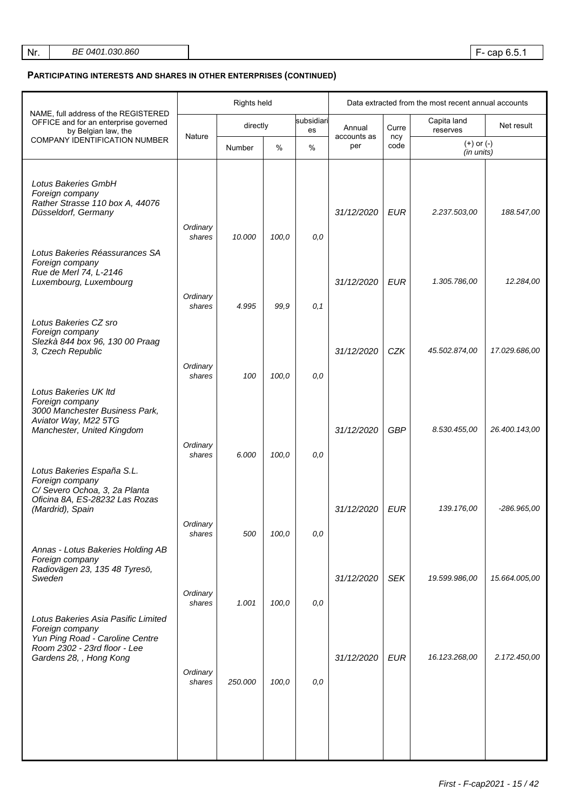# **PARTICIPATING INTERESTS AND SHARES IN OTHER ENTERPRISES (CONTINUED)**

|                                                                                                                                                      |                    | Rights held |       |                  | Data extracted from the most recent annual accounts |             |                              |               |
|------------------------------------------------------------------------------------------------------------------------------------------------------|--------------------|-------------|-------|------------------|-----------------------------------------------------|-------------|------------------------------|---------------|
| NAME, full address of the REGISTERED<br>OFFICE and for an enterprise governed<br>by Belgian law, the                                                 |                    | directly    |       | subsidiari<br>es | Annual                                              | Curre       | Capita land<br>reserves      | Net result    |
| <b>COMPANY IDENTIFICATION NUMBER</b>                                                                                                                 | Nature             | Number      | %     | %                | accounts as<br>per                                  | ncy<br>code | $(+)$ or $(-)$<br>(in units) |               |
| Lotus Bakeries GmbH<br>Foreign company<br>Rather Strasse 110 box A, 44076<br>Düsseldorf, Germany                                                     | Ordinary<br>shares | 10.000      | 100,0 | 0,0              | 31/12/2020                                          | <b>EUR</b>  | 2.237.503,00                 | 188.547,00    |
| Lotus Bakeries Réassurances SA<br>Foreign company<br>Rue de Merl 74, L-2146<br>Luxembourg, Luxembourg                                                | Ordinary           |             |       |                  | 31/12/2020                                          | <b>EUR</b>  | 1.305.786,00                 | 12.284,00     |
| Lotus Bakeries CZ sro<br>Foreign company                                                                                                             | shares             | 4.995       | 99,9  | 0,1              |                                                     |             |                              |               |
| Slezkà 844 box 96, 130 00 Praag<br>3, Czech Republic                                                                                                 | Ordinary           |             |       |                  | 31/12/2020                                          | CZK         | 45.502.874,00                | 17.029.686,00 |
| Lotus Bakeries UK Itd<br>Foreign company                                                                                                             | shares             | 100         | 100,0 | 0,0              |                                                     |             |                              |               |
| 3000 Manchester Business Park,<br>Aviator Way, M22 5TG<br>Manchester, United Kingdom                                                                 | Ordinary<br>shares | 6.000       | 100,0 | 0,0              | 31/12/2020                                          | <b>GBP</b>  | 8.530.455,00                 | 26.400.143,00 |
| Lotus Bakeries España S.L.<br>Foreign company<br>C/Severo Ochoa, 3, 2a Planta<br>Oficina 8A, ES-28232 Las Rozas<br>(Mardrid), Spain                  | Ordinary           |             |       |                  | 31/12/2020                                          | <b>EUR</b>  | 139.176,00                   | -286.965,00   |
| Annas - Lotus Bakeries Holding AB<br>Foreign company                                                                                                 | shares             | 500         | 100,0 | 0,0              |                                                     |             |                              |               |
| Radiovägen 23, 135 48 Tyresö,<br>Sweden                                                                                                              | Ordinary<br>shares | 1.001       | 100,0 | 0,0              | 31/12/2020                                          | <b>SEK</b>  | 19.599.986,00                | 15.664.005,00 |
| Lotus Bakeries Asia Pasific Limited<br>Foreign company<br>Yun Ping Road - Caroline Centre<br>Room 2302 - 23rd floor - Lee<br>Gardens 28, , Hong Kong |                    |             |       |                  | 31/12/2020                                          | <b>EUR</b>  | 16.123.268,00                | 2.172.450,00  |
|                                                                                                                                                      | Ordinary<br>shares | 250.000     | 100,0 | 0,0              |                                                     |             |                              |               |
|                                                                                                                                                      |                    |             |       |                  |                                                     |             |                              |               |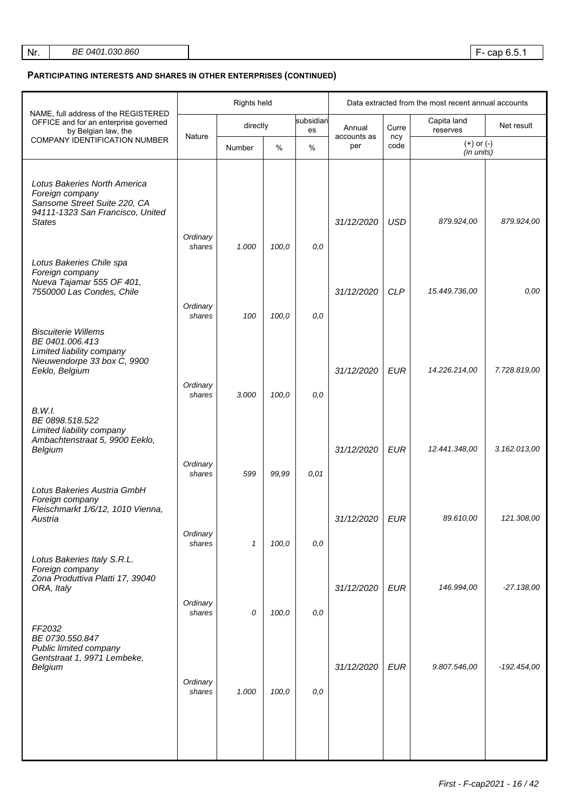| Nr. | <i>BE 0401.030.860</i> |
|-----|------------------------|
|     |                        |

## **PARTICIPATING INTERESTS AND SHARES IN OTHER ENTERPRISES (CONTINUED)**

|                                                                                                                                      | Rights held        |              |       |                  | Data extracted from the most recent annual accounts |             |                              |               |
|--------------------------------------------------------------------------------------------------------------------------------------|--------------------|--------------|-------|------------------|-----------------------------------------------------|-------------|------------------------------|---------------|
| NAME, full address of the REGISTERED<br>OFFICE and for an enterprise governed<br>by Belgian law, the                                 |                    | directly     |       | subsidiari<br>es | Annual                                              | Curre       | Capita land<br>reserves      | Net result    |
| <b>COMPANY IDENTIFICATION NUMBER</b>                                                                                                 | Nature             | Number       | %     | $\%$             | accounts as<br>per                                  | ncy<br>code | $(+)$ or $(-)$<br>(in units) |               |
| Lotus Bakeries North America<br>Foreign company<br>Sansome Street Suite 220, CA<br>94111-1323 San Francisco, United<br><b>States</b> | Ordinary<br>shares | 1.000        | 100,0 | 0,0              | 31/12/2020                                          | <b>USD</b>  | 879.924,00                   | 879.924,00    |
| Lotus Bakeries Chile spa<br>Foreign company<br>Nueva Tajamar 555 OF 401,<br>7550000 Las Condes, Chile                                | Ordinary<br>shares | 100          | 100,0 | 0,0              | 31/12/2020                                          | <b>CLP</b>  | 15.449.736,00                | 0,00          |
| <b>Biscuiterie Willems</b><br>BE 0401.006.413<br>Limited liability company<br>Nieuwendorpe 33 box C, 9900<br>Eeklo, Belgium          | Ordinary<br>shares | 3.000        | 100,0 | 0,0              | 31/12/2020                                          | <b>EUR</b>  | 14.226.214,00                | 7.728.819,00  |
| B.W.I.<br>BE 0898.518.522<br>Limited liability company<br>Ambachtenstraat 5, 9900 Eeklo,<br>Belgium                                  | Ordinary<br>shares | 599          | 99,99 | 0,01             | 31/12/2020                                          | <b>EUR</b>  | 12.441.348,00                | 3.162.013,00  |
| Lotus Bakeries Austria GmbH<br>Foreign company<br>Fleischmarkt 1/6/12, 1010 Vienna,<br>Austria                                       | Ordinary<br>shares | $\mathbf{1}$ | 100,0 | 0,0              | 31/12/2020                                          | <b>EUR</b>  | 89.610,00                    | 121.308.00    |
| Lotus Bakeries Italy S.R.L.<br>Foreign company<br>Zona Produttiva Platti 17, 39040<br>ORA, Italy                                     | Ordinary<br>shares | 0            | 100,0 | 0,0              | 31/12/2020                                          | <b>EUR</b>  | 146.994,00                   | $-27.138,00$  |
| FF2032<br>BE 0730.550.847<br>Public limited company<br>Gentstraat 1, 9971 Lembeke,<br>Belgium                                        | Ordinary<br>shares | 1.000        | 100,0 | 0,0              | 31/12/2020                                          | <b>EUR</b>  | 9.807.546,00                 | $-192.454,00$ |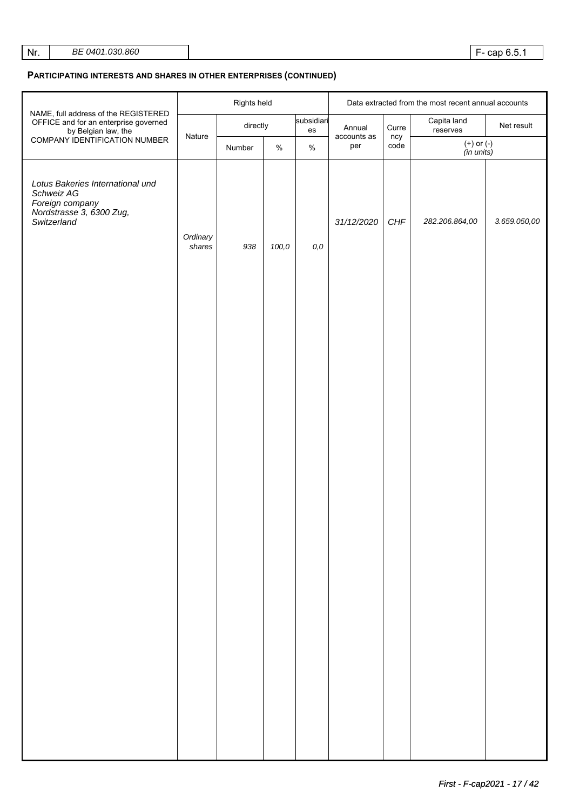## **PARTICIPATING INTERESTS AND SHARES IN OTHER ENTERPRISES (CONTINUED)**

|                                                                                                              |                    | Rights held |                                      |       | Data extracted from the most recent annual accounts |                    |                              |              |
|--------------------------------------------------------------------------------------------------------------|--------------------|-------------|--------------------------------------|-------|-----------------------------------------------------|--------------------|------------------------------|--------------|
| NAME, full address of the REGISTERED<br>OFFICE and for an enterprise governed<br>by Belgian law, the         |                    | directly    | subsidiari<br>$\mathop{\mathsf{es}}$ |       | Annual                                              | Curre              | Capita land<br>reserves      | Net result   |
| COMPANY IDENTIFICATION NUMBER                                                                                | Nature             | Number      | $\%$                                 | $\%$  | accounts as<br>per                                  |                    | $(+)$ or $(-)$<br>(in units) |              |
| Lotus Bakeries International und<br>Schweiz AG<br>Foreign company<br>Nordstrasse 3, 6300 Zug,<br>Switzerland | Ordinary<br>shares | 938         | 100,0                                | $0,0$ | 31/12/2020                                          | ncy<br>code<br>CHF | 282.206.864,00               | 3.659.050,00 |
|                                                                                                              |                    |             |                                      |       |                                                     |                    |                              |              |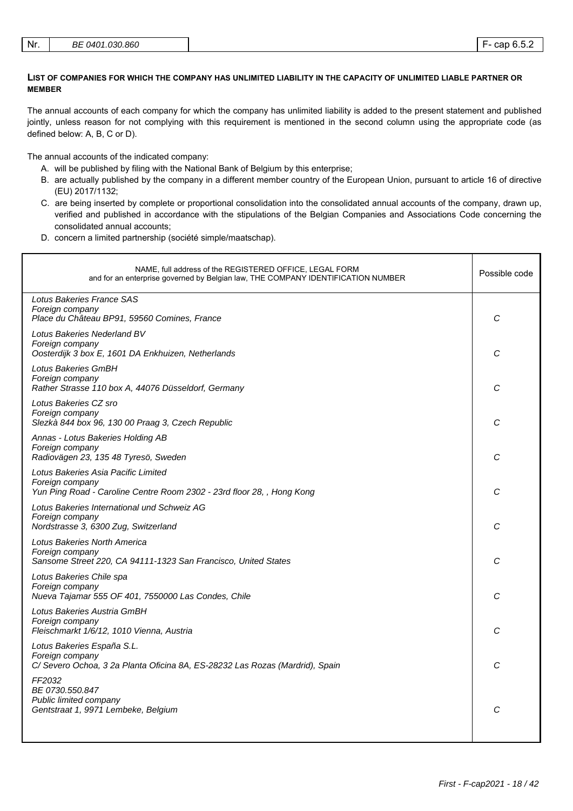### **LIST OF COMPANIES FOR WHICH THE COMPANY HAS UNLIMITED LIABILITY IN THE CAPACITY OF UNLIMITED LIABLE PARTNER OR MEMBER**

The annual accounts of each company for which the company has unlimited liability is added to the present statement and published jointly, unless reason for not complying with this requirement is mentioned in the second column using the appropriate code (as defined below: A, B, C or D).

The annual accounts of the indicated company:

- A. will be published by filing with the National Bank of Belgium by this enterprise;
- B. are actually published by the company in a different member country of the European Union, pursuant to article 16 of directive (EU) 2017/1132;
- C. are being inserted by complete or proportional consolidation into the consolidated annual accounts of the company, drawn up, verified and published in accordance with the stipulations of the Belgian Companies and Associations Code concerning the consolidated annual accounts;
- D. concern a limited partnership (société simple/maatschap).

| NAME, full address of the REGISTERED OFFICE, LEGAL FORM<br>and for an enterprise governed by Belgian law, THE COMPANY IDENTIFICATION NUMBER | Possible code |
|---------------------------------------------------------------------------------------------------------------------------------------------|---------------|
| Lotus Bakeries France SAS<br>Foreign company<br>Place du Château BP91, 59560 Comines, France                                                | C             |
| Lotus Bakeries Nederland BV<br>Foreign company<br>Oosterdijk 3 box E, 1601 DA Enkhuizen, Netherlands                                        | С             |
| Lotus Bakeries GmBH<br>Foreign company<br>Rather Strasse 110 box A, 44076 Düsseldorf, Germany                                               | C             |
| Lotus Bakeries CZ sro<br>Foreign company<br>Slezkà 844 box 96, 130 00 Praag 3, Czech Republic                                               | C             |
| Annas - Lotus Bakeries Holding AB<br>Foreign company<br>Radiovägen 23, 135 48 Tyresö, Sweden                                                | С             |
| Lotus Bakeries Asia Pacific Limited<br>Foreign company<br>Yun Ping Road - Caroline Centre Room 2302 - 23rd floor 28, , Hong Kong            | C             |
| Lotus Bakeries International und Schweiz AG<br>Foreign company<br>Nordstrasse 3, 6300 Zug, Switzerland                                      | C             |
| Lotus Bakeries North America<br>Foreign company<br>Sansome Street 220, CA 94111-1323 San Francisco, United States                           | C             |
| Lotus Bakeries Chile spa<br>Foreign company<br>Nueva Tajamar 555 OF 401, 7550000 Las Condes, Chile                                          | C             |
| Lotus Bakeries Austria GmBH<br>Foreign company<br>Fleischmarkt 1/6/12, 1010 Vienna, Austria                                                 | C             |
| Lotus Bakeries España S.L.<br>Foreign company<br>C/ Severo Ochoa, 3 2a Planta Oficina 8A, ES-28232 Las Rozas (Mardrid), Spain               | C             |
| FF2032<br>BE 0730.550.847<br>Public limited company<br>Gentstraat 1, 9971 Lembeke, Belgium                                                  | С             |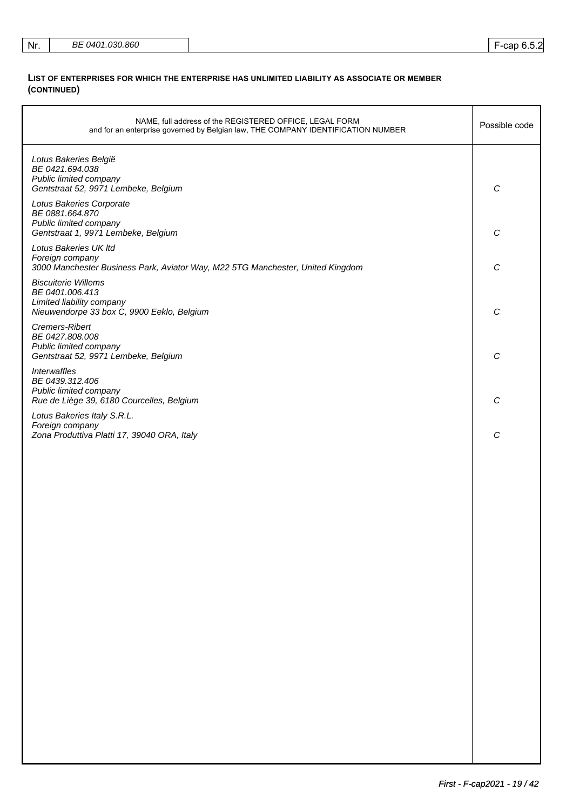| Nr. | BE 0401.030.860 |  | F-cap 6.5.2 |  |
|-----|-----------------|--|-------------|--|
|-----|-----------------|--|-------------|--|

### **LIST OF ENTERPRISES FOR WHICH THE ENTERPRISE HAS UNLIMITED LIABILITY AS ASSOCIATE OR MEMBER (CONTINUED)**

| NAME, full address of the REGISTERED OFFICE, LEGAL FORM<br>and for an enterprise governed by Belgian law, THE COMPANY IDENTIFICATION NUMBER | Possible code    |
|---------------------------------------------------------------------------------------------------------------------------------------------|------------------|
| Lotus Bakeries België<br>BE 0421.694.038<br>Public limited company<br>Gentstraat 52, 9971 Lembeke, Belgium                                  | $\boldsymbol{C}$ |
| Lotus Bakeries Corporate<br>BE 0881.664.870<br>Public limited company<br>Gentstraat 1, 9971 Lembeke, Belgium                                | $\boldsymbol{C}$ |
| Lotus Bakeries UK Itd<br>Foreign company<br>3000 Manchester Business Park, Aviator Way, M22 5TG Manchester, United Kingdom                  | $\boldsymbol{C}$ |
| <b>Biscuiterie Willems</b><br>BE 0401.006.413<br>Limited liability company<br>Nieuwendorpe 33 box C, 9900 Eeklo, Belgium                    | $\mathcal{C}$    |
| Cremers-Ribert<br>BE 0427.808.008<br>Public limited company<br>Gentstraat 52, 9971 Lembeke, Belgium                                         | $\mathcal{C}$    |
| <b>Interwaffles</b><br>BE 0439.312.406<br>Public limited company<br>Rue de Liège 39, 6180 Courcelles, Belgium                               | $\mathcal{C}$    |
| Lotus Bakeries Italy S.R.L.<br>Foreign company<br>Zona Produttiva Platti 17, 39040 ORA, Italy                                               | $\mathcal{C}$    |
|                                                                                                                                             |                  |
|                                                                                                                                             |                  |
|                                                                                                                                             |                  |
|                                                                                                                                             |                  |
|                                                                                                                                             |                  |
|                                                                                                                                             |                  |
|                                                                                                                                             |                  |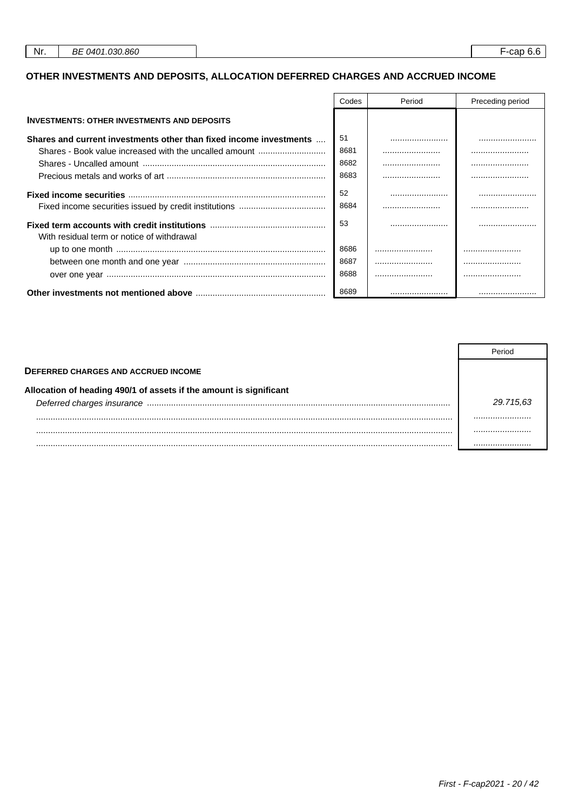# OTHER INVESTMENTS AND DEPOSITS, ALLOCATION DEFERRED CHARGES AND ACCRUED INCOME

|                                                                    | Codes      | Period | Preceding period |
|--------------------------------------------------------------------|------------|--------|------------------|
| <b>INVESTMENTS: OTHER INVESTMENTS AND DEPOSITS</b>                 |            |        |                  |
| Shares and current investments other than fixed income investments | 51         |        |                  |
| Shares - Book value increased with the uncalled amount             | 8681       |        |                  |
|                                                                    | 8682       |        |                  |
|                                                                    | 8683       |        |                  |
|                                                                    | 52<br>8684 |        |                  |
| With residual term or notice of withdrawal                         | 53         |        |                  |
|                                                                    | 8686       |        |                  |
|                                                                    | 8687       |        |                  |
|                                                                    | 8688       |        |                  |
|                                                                    | 8689       |        |                  |

| <b>DEFERRED CHARGES AND ACCRUED INCOME</b>                         |           |
|--------------------------------------------------------------------|-----------|
| Allocation of heading 490/1 of assets if the amount is significant |           |
|                                                                    | 29.715.63 |
|                                                                    |           |
|                                                                    |           |
|                                                                    |           |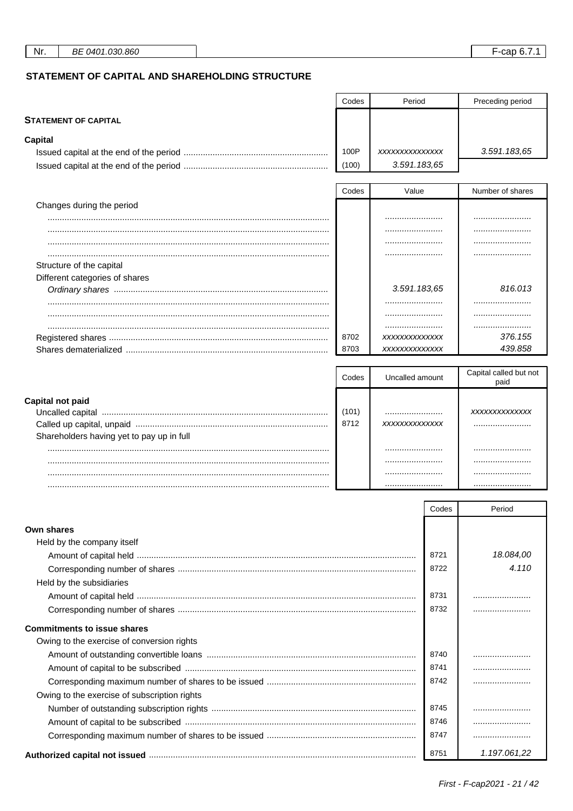**STATEMENT OF CAPITAL** 

Preceding period

# STATEMENT OF CAPITAL AND SHAREHOLDING STRUCTURE

| Capital                                      |               |                                |       |                        |
|----------------------------------------------|---------------|--------------------------------|-------|------------------------|
|                                              | 100P<br>(100) | XXXXXXXXXXXXXX<br>3.591.183,65 |       | 3.591.183,65           |
|                                              |               |                                |       |                        |
|                                              | Codes         | Value                          |       | Number of shares       |
| Changes during the period                    |               |                                |       |                        |
|                                              |               |                                |       |                        |
|                                              |               |                                |       |                        |
|                                              |               |                                |       |                        |
|                                              |               |                                |       |                        |
| Structure of the capital                     |               |                                |       |                        |
| Different categories of shares               |               | 3.591.183,65                   |       | 816.013                |
|                                              |               |                                |       |                        |
|                                              |               |                                |       |                        |
|                                              |               |                                |       |                        |
|                                              | 8702          | XXXXXXXXXXXXX                  |       | 376.155                |
|                                              | 8703          | XXXXXXXXXXXXX                  |       | 439.858                |
|                                              |               |                                |       |                        |
|                                              | Codes         | Uncalled amount                |       | Capital called but not |
|                                              |               |                                |       | paid                   |
| Capital not paid                             |               |                                |       |                        |
|                                              | (101)         |                                |       | XXXXXXXXXXXXX          |
|                                              | 8712          | XXXXXXXXXXXXXX                 |       |                        |
| Shareholders having yet to pay up in full    |               |                                |       |                        |
|                                              |               |                                |       |                        |
|                                              |               |                                |       |                        |
|                                              |               |                                |       |                        |
|                                              |               |                                |       |                        |
|                                              |               |                                | Codes | Period                 |
|                                              |               |                                |       |                        |
| Own shares                                   |               |                                |       |                        |
| Held by the company itself                   |               |                                |       |                        |
|                                              |               |                                | 8721  | 18.084,00<br>4.110     |
|                                              |               |                                | 8722  |                        |
| Held by the subsidiaries                     |               |                                |       |                        |
|                                              |               |                                | 8731  |                        |
|                                              |               |                                | 8732  |                        |
| <b>Commitments to issue shares</b>           |               |                                |       |                        |
| Owing to the exercise of conversion rights   |               |                                |       |                        |
|                                              |               |                                | 8740  |                        |
|                                              |               |                                | 8741  |                        |
|                                              |               |                                | 8742  |                        |
| Owing to the exercise of subscription rights |               |                                |       |                        |
|                                              |               |                                | 8745  |                        |
|                                              |               |                                | 8746  |                        |
|                                              |               |                                | 8747  |                        |
|                                              |               |                                | 8751  | 1.197.061,22           |
|                                              |               |                                |       |                        |

Codes

Period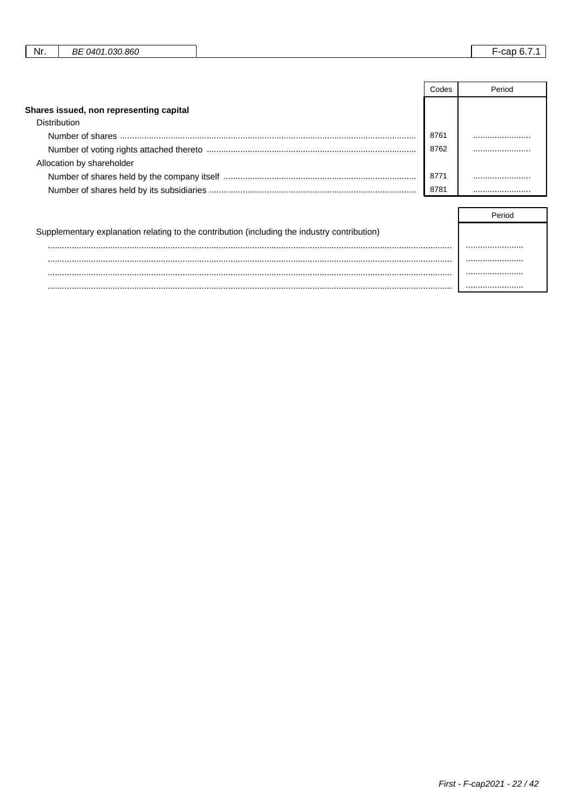| .030.860<br>or<br>റ4റ≁<br>Nr.<br>car<br>DE |
|--------------------------------------------|
|--------------------------------------------|

|                                         | Codes | Period |
|-----------------------------------------|-------|--------|
| Shares issued, non representing capital |       |        |
| Distribution                            |       |        |
|                                         | 8761  |        |
|                                         | 8762  |        |
| Allocation by shareholder               |       |        |
|                                         | 8771  |        |
|                                         | 8781  |        |

| Supplementary explanation relating to the contribution (including the industry contribution) |  |
|----------------------------------------------------------------------------------------------|--|
|                                                                                              |  |
|                                                                                              |  |
|                                                                                              |  |
|                                                                                              |  |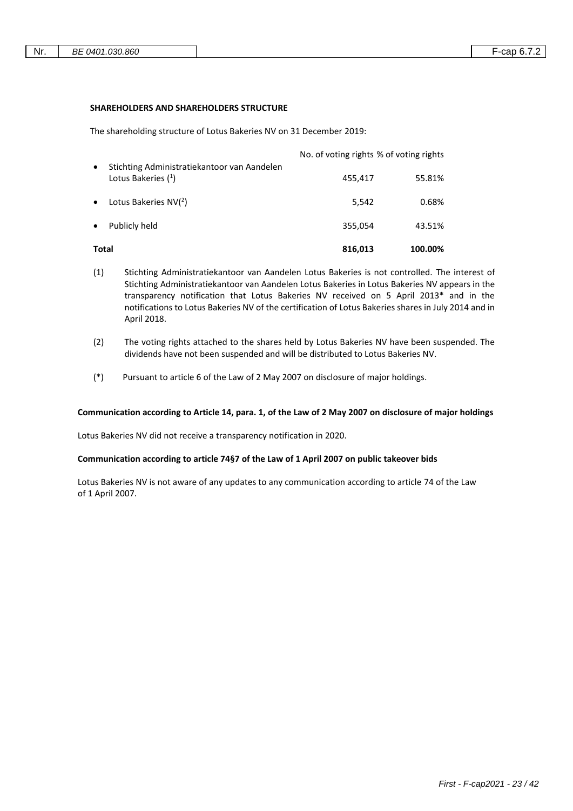#### **SHAREHOLDERS AND SHAREHOLDERS STRUCTURE**

The shareholding structure of Lotus Bakeries NV on 31 December 2019:

| Total     |                                                                      | 816,013                                 | 100.00% |
|-----------|----------------------------------------------------------------------|-----------------------------------------|---------|
| $\bullet$ | Publicly held                                                        | 355,054                                 | 43.51%  |
| $\bullet$ | Lotus Bakeries $NV(2)$                                               | 5,542                                   | 0.68%   |
| $\bullet$ | Stichting Administratiekantoor van Aandelen<br>Lotus Bakeries $(^1)$ | 455,417                                 | 55.81%  |
|           |                                                                      | No. of voting rights % of voting rights |         |

- (1) Stichting Administratiekantoor van Aandelen Lotus Bakeries is not controlled. The interest of Stichting Administratiekantoor van Aandelen Lotus Bakeries in Lotus Bakeries NV appears in the transparency notification that Lotus Bakeries NV received on 5 April 2013\* and in the notifications to Lotus Bakeries NV of the certification of Lotus Bakeries shares in July 2014 and in April 2018.
- (2) The voting rights attached to the shares held by Lotus Bakeries NV have been suspended. The dividends have not been suspended and will be distributed to Lotus Bakeries NV.
- (\*) Pursuant to article 6 of the Law of 2 May 2007 on disclosure of major holdings.

### **Communication according to Article 14, para. 1, of the Law of 2 May 2007 on disclosure of major holdings**

Lotus Bakeries NV did not receive a transparency notification in 2020.

#### **Communication according to article 74§7 of the Law of 1 April 2007 on public takeover bids**

Lotus Bakeries NV is not aware of any updates to any communication according to article 74 of the Law of 1 April 2007.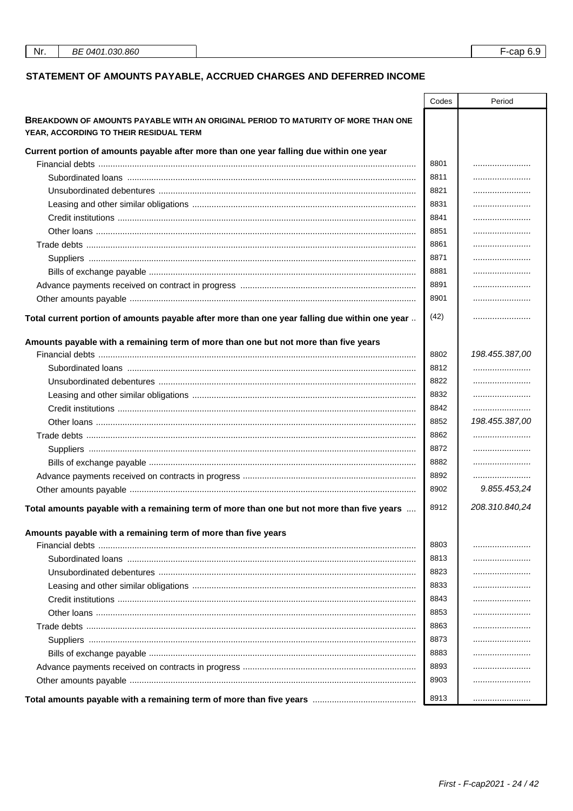# STATEMENT OF AMOUNTS PAYABLE, ACCRUED CHARGES AND DEFERRED INCOME

|                                                                                                                             | Codes | Period         |
|-----------------------------------------------------------------------------------------------------------------------------|-------|----------------|
| BREAKDOWN OF AMOUNTS PAYABLE WITH AN ORIGINAL PERIOD TO MATURITY OF MORE THAN ONE<br>YEAR, ACCORDING TO THEIR RESIDUAL TERM |       |                |
| Current portion of amounts payable after more than one year falling due within one year                                     |       |                |
|                                                                                                                             | 8801  |                |
|                                                                                                                             | 8811  |                |
|                                                                                                                             | 8821  |                |
|                                                                                                                             | 8831  |                |
|                                                                                                                             | 8841  |                |
|                                                                                                                             | 8851  |                |
|                                                                                                                             | 8861  |                |
|                                                                                                                             | 8871  |                |
|                                                                                                                             | 8881  |                |
|                                                                                                                             | 8891  |                |
|                                                                                                                             | 8901  |                |
| Total current portion of amounts payable after more than one year falling due within one year                               | (42)  |                |
|                                                                                                                             |       |                |
| Amounts payable with a remaining term of more than one but not more than five years                                         | 8802  | 198.455.387,00 |
|                                                                                                                             | 8812  |                |
|                                                                                                                             | 8822  |                |
|                                                                                                                             | 8832  |                |
|                                                                                                                             | 8842  |                |
|                                                                                                                             | 8852  | 198.455.387,00 |
|                                                                                                                             | 8862  |                |
|                                                                                                                             | 8872  |                |
|                                                                                                                             | 8882  |                |
|                                                                                                                             | 8892  |                |
|                                                                                                                             | 8902  | 9.855.453,24   |
|                                                                                                                             |       |                |
| Total amounts payable with a remaining term of more than one but not more than five years                                   | 8912  | 208.310.840,24 |
| Amounts payable with a remaining term of more than five years                                                               |       |                |
|                                                                                                                             | 8803  |                |
|                                                                                                                             | 8813  |                |
|                                                                                                                             | 8823  |                |
|                                                                                                                             | 8833  |                |
|                                                                                                                             | 8843  |                |
|                                                                                                                             | 8853  |                |
|                                                                                                                             | 8863  |                |
|                                                                                                                             | 8873  |                |
|                                                                                                                             | 8883  |                |
|                                                                                                                             | 8893  |                |
|                                                                                                                             | 8903  |                |
|                                                                                                                             | 8913  |                |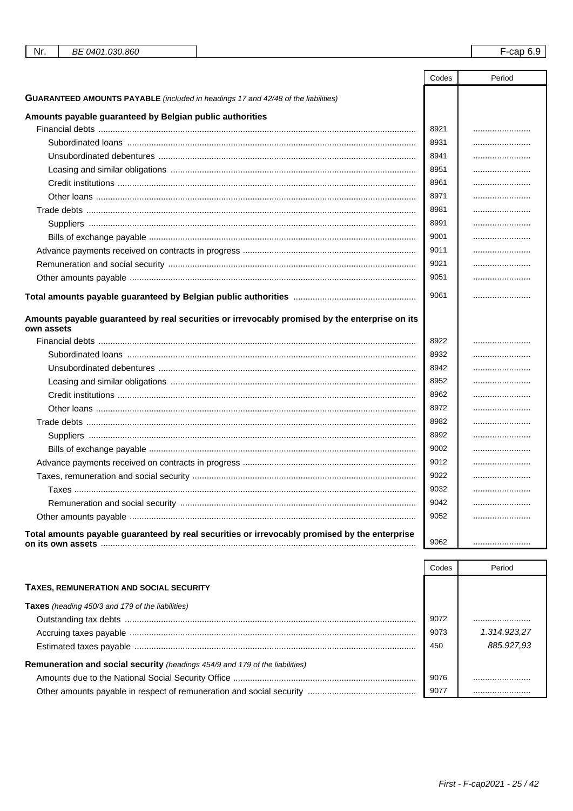| Nr.<br>BE 0401.030.860                                                                                       |       | $F$ -cap 6.9 |
|--------------------------------------------------------------------------------------------------------------|-------|--------------|
|                                                                                                              |       |              |
|                                                                                                              | Codes | Period       |
| <b>GUARANTEED AMOUNTS PAYABLE</b> (included in headings 17 and 42/48 of the liabilities)                     |       |              |
| Amounts payable guaranteed by Belgian public authorities                                                     |       |              |
|                                                                                                              | 8921  |              |
|                                                                                                              | 8931  |              |
| Unsubordinated debentures ……………………………………………………………………………………………                                                | 8941  |              |
|                                                                                                              | 8951  |              |
|                                                                                                              | 8961  |              |
|                                                                                                              | 8971  |              |
|                                                                                                              | 8981  |              |
|                                                                                                              | 8991  |              |
|                                                                                                              | 9001  |              |
|                                                                                                              | 9011  |              |
|                                                                                                              | 9021  |              |
|                                                                                                              | 9051  |              |
|                                                                                                              | 9061  |              |
|                                                                                                              |       |              |
| Amounts payable guaranteed by real securities or irrevocably promised by the enterprise on its<br>own assets |       |              |
|                                                                                                              | 8922  |              |
|                                                                                                              | 8932  |              |
|                                                                                                              | 8942  |              |
|                                                                                                              | 8952  |              |
|                                                                                                              | 8962  |              |
|                                                                                                              | 8972  |              |
|                                                                                                              | 8982  |              |
|                                                                                                              | 8992  |              |
|                                                                                                              | 9002  |              |
|                                                                                                              | 9012  |              |
|                                                                                                              | 9022  |              |
|                                                                                                              | 9032  |              |
|                                                                                                              | 9042  |              |
|                                                                                                              | 9052  |              |
|                                                                                                              |       |              |
| Total amounts payable guaranteed by real securities or irrevocably promised by the enterprise                | 9062  |              |

|                                                                                     | Codes | Period       |
|-------------------------------------------------------------------------------------|-------|--------------|
| <b>TAXES, REMUNERATION AND SOCIAL SECURITY</b>                                      |       |              |
| <b>Taxes</b> (heading 450/3 and 179 of the liabilities)                             |       |              |
|                                                                                     | 9072  |              |
|                                                                                     | 9073  | 1.314.923.27 |
|                                                                                     | 450   | 885.927.93   |
| <b>Remuneration and social security</b> (headings 454/9 and 179 of the liabilities) |       |              |
|                                                                                     | 9076  |              |
|                                                                                     | 9077  |              |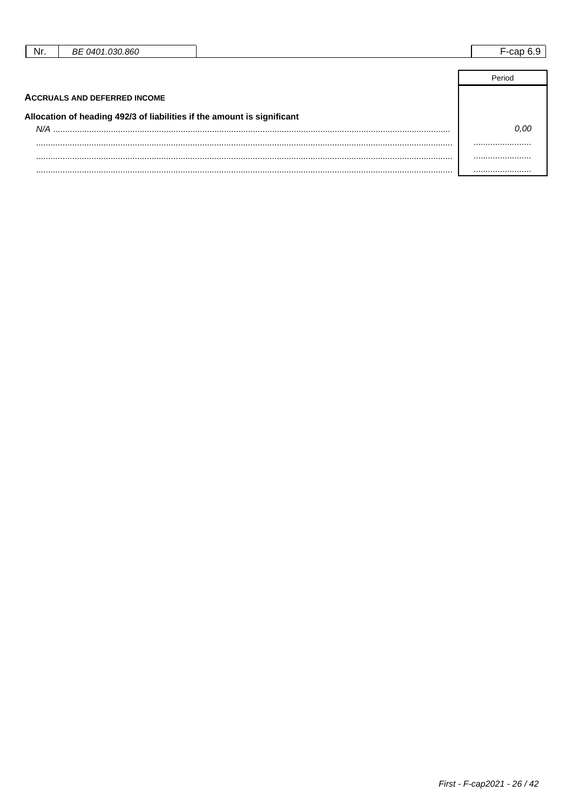| Nr. | BE 0401.030.860 | -con<br>- - - |
|-----|-----------------|---------------|
|     |                 |               |
|     |                 | Period        |

| <b>ACCRUALS AND DEFERRED INCOME</b>                                     |  |
|-------------------------------------------------------------------------|--|
| Allocation of heading 492/3 of liabilities if the amount is significant |  |
|                                                                         |  |
|                                                                         |  |
|                                                                         |  |
|                                                                         |  |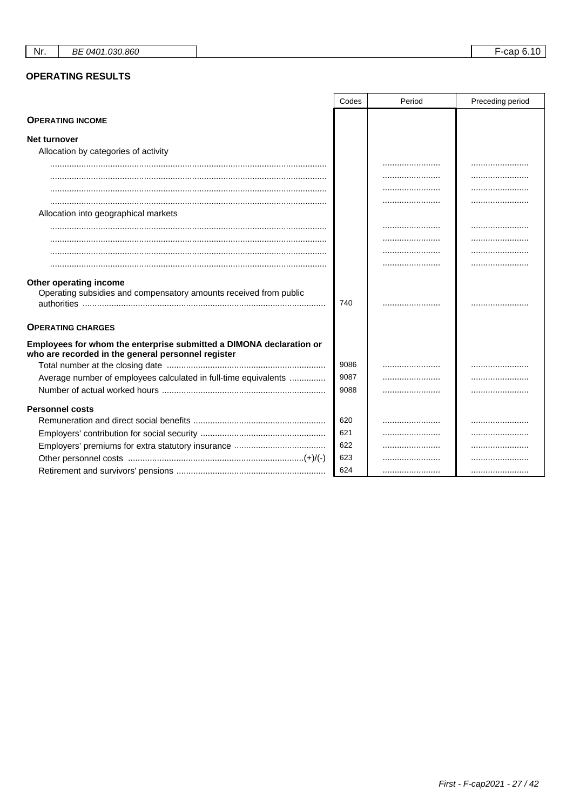# **OPERATING RESULTS**

|                                                                                                                           | Codes | Period | Preceding period |
|---------------------------------------------------------------------------------------------------------------------------|-------|--------|------------------|
| <b>OPERATING INCOME</b>                                                                                                   |       |        |                  |
| <b>Net turnover</b>                                                                                                       |       |        |                  |
| Allocation by categories of activity                                                                                      |       |        |                  |
|                                                                                                                           |       |        |                  |
|                                                                                                                           |       |        |                  |
|                                                                                                                           |       |        |                  |
|                                                                                                                           |       |        |                  |
| Allocation into geographical markets                                                                                      |       |        |                  |
|                                                                                                                           |       |        |                  |
|                                                                                                                           |       |        |                  |
|                                                                                                                           |       |        |                  |
|                                                                                                                           |       |        |                  |
| Other operating income<br>Operating subsidies and compensatory amounts received from public                               | 740   |        |                  |
| <b>OPERATING CHARGES</b>                                                                                                  |       |        |                  |
| Employees for whom the enterprise submitted a DIMONA declaration or<br>who are recorded in the general personnel register |       |        |                  |
|                                                                                                                           | 9086  |        | .                |
| Average number of employees calculated in full-time equivalents                                                           | 9087  |        | .                |
|                                                                                                                           | 9088  |        |                  |
| <b>Personnel costs</b>                                                                                                    |       |        |                  |
|                                                                                                                           | 620   |        |                  |
|                                                                                                                           | 621   |        |                  |
|                                                                                                                           | 622   |        |                  |
|                                                                                                                           | 623   |        |                  |
|                                                                                                                           | 624   |        |                  |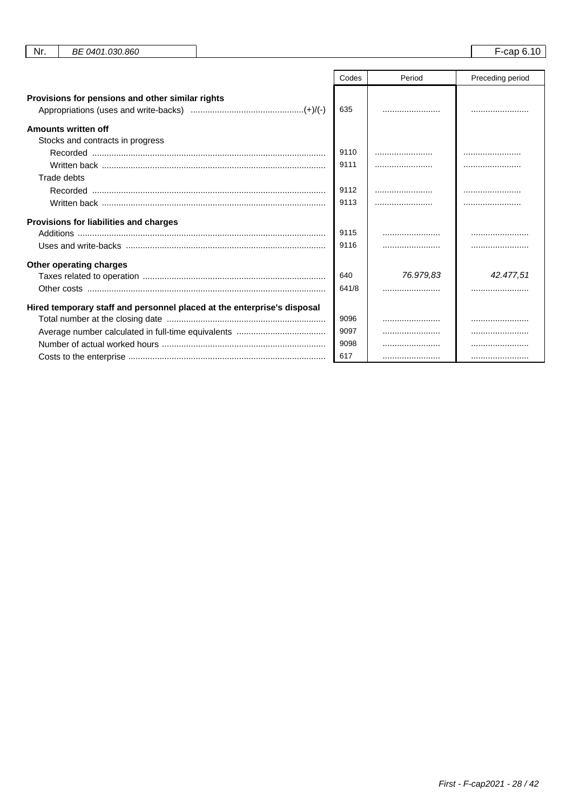|                                                                         | Codes | Period    | Preceding period |
|-------------------------------------------------------------------------|-------|-----------|------------------|
| Provisions for pensions and other similar rights                        | 635   |           |                  |
| Amounts written off                                                     |       |           |                  |
| Stocks and contracts in progress                                        |       |           |                  |
|                                                                         | 9110  |           |                  |
|                                                                         | 9111  |           |                  |
| Trade debts                                                             |       |           |                  |
|                                                                         | 9112  |           |                  |
|                                                                         | 9113  |           |                  |
| Provisions for liabilities and charges                                  |       |           |                  |
|                                                                         | 9115  |           |                  |
|                                                                         | 9116  |           |                  |
| Other operating charges                                                 |       |           |                  |
|                                                                         | 640   | 76.979.83 | 42.477,51        |
|                                                                         | 641/8 |           |                  |
| Hired temporary staff and personnel placed at the enterprise's disposal |       |           |                  |
|                                                                         | 9096  |           |                  |
|                                                                         | 9097  |           |                  |
|                                                                         | 9098  |           |                  |
|                                                                         | 617   |           |                  |

Nr.

BE 0401.030.860

F-cap 6.10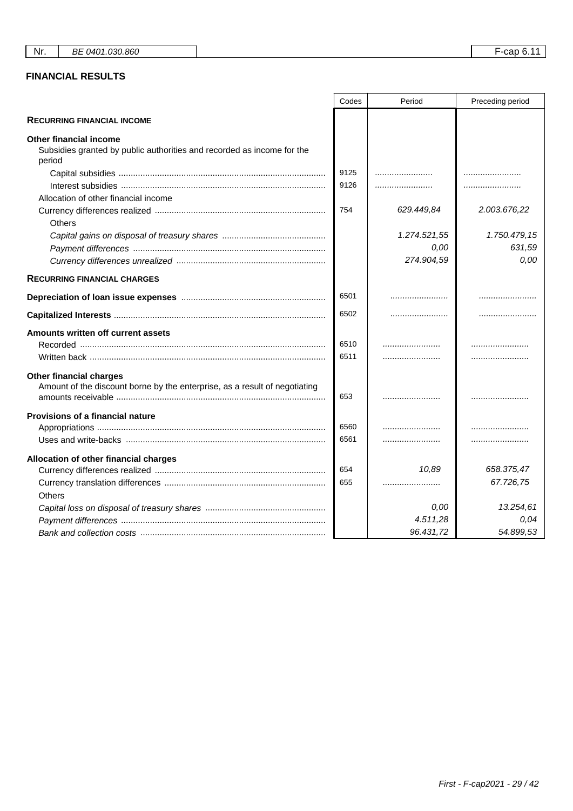# **FINANCIAL RESULTS**

|                                                                                                                   | Codes | Period       | Preceding period |
|-------------------------------------------------------------------------------------------------------------------|-------|--------------|------------------|
| <b>RECURRING FINANCIAL INCOME</b>                                                                                 |       |              |                  |
| <b>Other financial income</b><br>Subsidies granted by public authorities and recorded as income for the<br>period |       |              |                  |
|                                                                                                                   | 9125  |              |                  |
|                                                                                                                   | 9126  |              |                  |
| Allocation of other financial income                                                                              |       |              |                  |
|                                                                                                                   | 754   | 629.449,84   | 2.003.676,22     |
| Others                                                                                                            |       |              |                  |
|                                                                                                                   |       | 1.274.521,55 | 1.750.479,15     |
|                                                                                                                   |       | 0.00         | 631,59           |
|                                                                                                                   |       | 274.904,59   | 0,00             |
| <b>RECURRING FINANCIAL CHARGES</b>                                                                                |       |              |                  |
|                                                                                                                   | 6501  |              |                  |
|                                                                                                                   | 6502  |              |                  |
| Amounts written off current assets                                                                                |       |              |                  |
|                                                                                                                   | 6510  |              |                  |
|                                                                                                                   | 6511  |              |                  |
| <b>Other financial charges</b><br>Amount of the discount borne by the enterprise, as a result of negotiating      | 653   |              |                  |
| Provisions of a financial nature                                                                                  |       |              |                  |
|                                                                                                                   | 6560  |              |                  |
|                                                                                                                   | 6561  |              |                  |
| Allocation of other financial charges                                                                             |       |              |                  |
|                                                                                                                   | 654   | 10,89        | 658.375,47       |
|                                                                                                                   | 655   |              | 67.726,75        |
| <b>Others</b>                                                                                                     |       |              |                  |
|                                                                                                                   |       | 0.00         | 13.254,61        |
|                                                                                                                   |       | 4.511,28     | 0,04             |
|                                                                                                                   |       | 96.431,72    | 54.899,53        |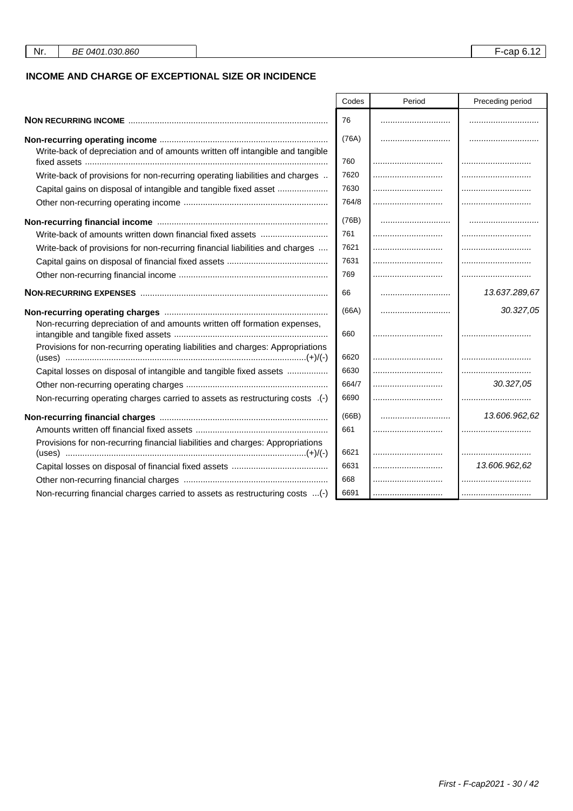## **INCOME AND CHARGE OF EXCEPTIONAL SIZE OR INCIDENCE**

|                                                                                | Codes | Period | Preceding period |
|--------------------------------------------------------------------------------|-------|--------|------------------|
|                                                                                | 76    |        |                  |
|                                                                                | (76A) |        |                  |
| Write-back of depreciation and of amounts written off intangible and tangible  |       |        |                  |
|                                                                                | 760   |        |                  |
| Write-back of provisions for non-recurring operating liabilities and charges   | 7620  |        |                  |
| Capital gains on disposal of intangible and tangible fixed asset               | 7630  |        |                  |
|                                                                                | 764/8 |        |                  |
|                                                                                | (76B) |        |                  |
| Write-back of amounts written down financial fixed assets                      | 761   |        |                  |
| Write-back of provisions for non-recurring financial liabilities and charges   | 7621  |        |                  |
|                                                                                | 7631  |        |                  |
|                                                                                | 769   |        |                  |
|                                                                                | 66    |        | 13.637.289,67    |
|                                                                                | (66A) |        | 30.327,05        |
| Non-recurring depreciation of and amounts written off formation expenses,      | 660   |        |                  |
| Provisions for non-recurring operating liabilities and charges: Appropriations | 6620  |        |                  |
| Capital losses on disposal of intangible and tangible fixed assets             | 6630  |        |                  |
|                                                                                | 664/7 |        | 30.327,05        |
| Non-recurring operating charges carried to assets as restructuring costs .(-)  | 6690  |        |                  |
|                                                                                | (66B) |        | 13.606.962,62    |
|                                                                                | 661   |        |                  |
| Provisions for non-recurring financial liabilities and charges: Appropriations |       |        |                  |
|                                                                                | 6621  |        |                  |
|                                                                                | 6631  |        | 13.606.962,62    |
|                                                                                | 668   |        |                  |
| Non-recurring financial charges carried to assets as restructuring costs (-)   | 6691  |        |                  |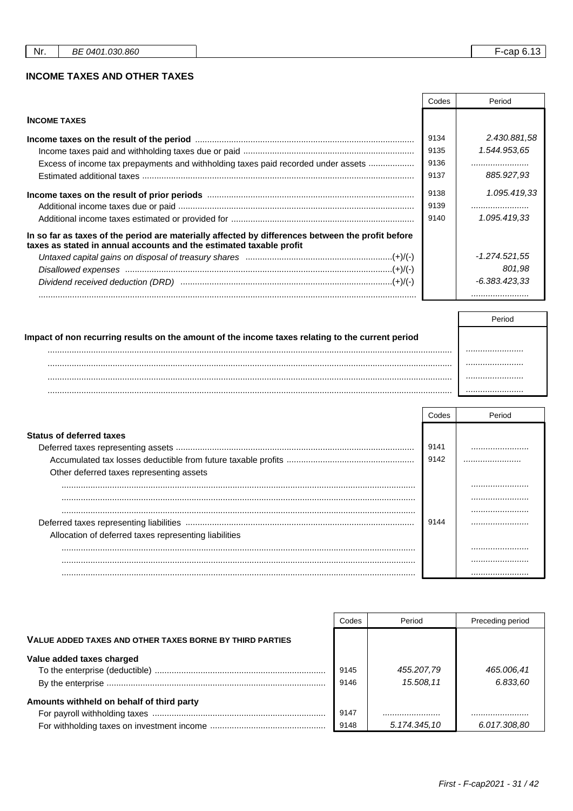## **INCOME TAXES AND OTHER TAXES**

|                                                                                                                                                                          | Codes | Period          |
|--------------------------------------------------------------------------------------------------------------------------------------------------------------------------|-------|-----------------|
| <b>INCOME TAXES</b>                                                                                                                                                      |       |                 |
|                                                                                                                                                                          | 9134  | 2.430.881.58    |
|                                                                                                                                                                          | 9135  | 1.544.953,65    |
| Excess of income tax prepayments and withholding taxes paid recorded under assets                                                                                        | 9136  |                 |
|                                                                                                                                                                          | 9137  | 885.927.93      |
|                                                                                                                                                                          | 9138  | 1.095.419,33    |
|                                                                                                                                                                          | 9139  |                 |
|                                                                                                                                                                          | 9140  | 1.095.419.33    |
| In so far as taxes of the period are materially affected by differences between the profit before<br>taxes as stated in annual accounts and the estimated taxable profit |       |                 |
|                                                                                                                                                                          |       | -1.274.521,55   |
|                                                                                                                                                                          |       | 801.98          |
|                                                                                                                                                                          |       | $-6.383.423.33$ |
|                                                                                                                                                                          |       |                 |

| Impact of non recurring results on the amount of the income taxes relating to the current period |  |
|--------------------------------------------------------------------------------------------------|--|
|                                                                                                  |  |
| <br><br>.                                                                                        |  |
| .                                                                                                |  |
|                                                                                                  |  |

|                                                       | Codes        | Period |
|-------------------------------------------------------|--------------|--------|
| <b>Status of deferred taxes</b>                       |              |        |
|                                                       | 9141<br>9142 |        |
| Other deferred taxes representing assets              |              |        |
|                                                       |              |        |
|                                                       |              |        |
|                                                       |              |        |
|                                                       | 9144         |        |
| Allocation of deferred taxes representing liabilities |              |        |
|                                                       |              |        |
|                                                       |              |        |

|                                                          | Codes | Period       | Preceding period |
|----------------------------------------------------------|-------|--------------|------------------|
| VALUE ADDED TAXES AND OTHER TAXES BORNE BY THIRD PARTIES |       |              |                  |
| Value added taxes charged                                |       |              |                  |
|                                                          | 9145  | 455.207,79   | 465.006,41       |
|                                                          | 9146  | 15,508.11    | 6.833.60         |
| Amounts withheld on behalf of third party                |       |              |                  |
|                                                          | 9147  |              |                  |
|                                                          | 9148  | 5.174.345,10 | 6.017.308.80     |

 $F$ -cap 6.13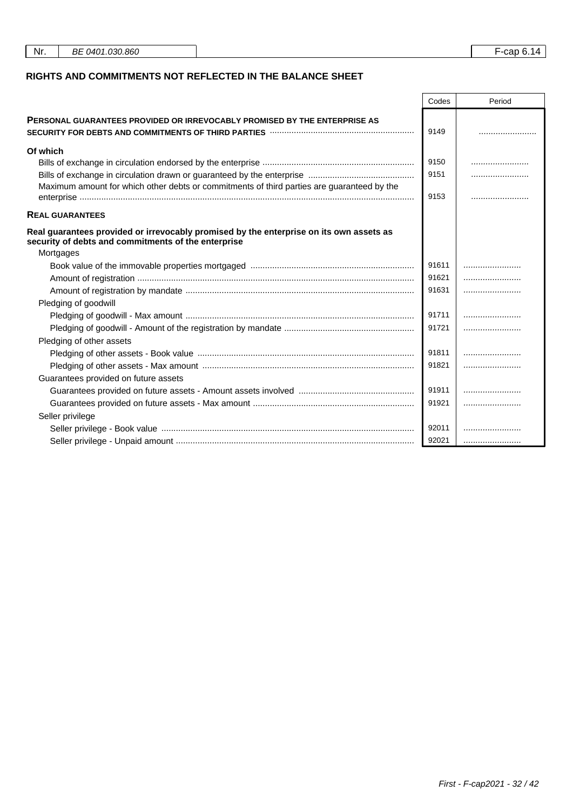| Nr.<br>BE 0401.030.860 | F-cap 6.14 |  |  |
|------------------------|------------|--|--|
|------------------------|------------|--|--|

## **RIGHTS AND COMMITMENTS NOT REFLECTED IN THE BALANCE SHEET**

|                                                                                                                                                                                  | Codes | Period |
|----------------------------------------------------------------------------------------------------------------------------------------------------------------------------------|-------|--------|
| <b>PERSONAL GUARANTEES PROVIDED OR IRREVOCABLY PROMISED BY THE ENTERPRISE AS</b><br>SECURITY FOR DEBTS AND COMMITMENTS OF THIRD PARTIES <b>With COMMITMENTS</b> OF THIRD PARTIES | 9149  |        |
| Of which                                                                                                                                                                         |       |        |
|                                                                                                                                                                                  | 9150  |        |
|                                                                                                                                                                                  | 9151  |        |
| Maximum amount for which other debts or commitments of third parties are guaranteed by the                                                                                       | 9153  |        |
| <b>REAL GUARANTEES</b>                                                                                                                                                           |       |        |
| Real guarantees provided or irrevocably promised by the enterprise on its own assets as<br>security of debts and commitments of the enterprise                                   |       |        |
| Mortgages                                                                                                                                                                        |       |        |
|                                                                                                                                                                                  | 91611 |        |
|                                                                                                                                                                                  | 91621 |        |
|                                                                                                                                                                                  | 91631 |        |
| Pledging of goodwill                                                                                                                                                             |       |        |
|                                                                                                                                                                                  | 91711 |        |
|                                                                                                                                                                                  | 91721 |        |
| Pledging of other assets                                                                                                                                                         |       |        |
|                                                                                                                                                                                  | 91811 |        |
|                                                                                                                                                                                  | 91821 |        |
| Guarantees provided on future assets                                                                                                                                             |       |        |
|                                                                                                                                                                                  | 91911 |        |
|                                                                                                                                                                                  | 91921 |        |
| Seller privilege                                                                                                                                                                 |       |        |
|                                                                                                                                                                                  | 92011 |        |
|                                                                                                                                                                                  | 92021 |        |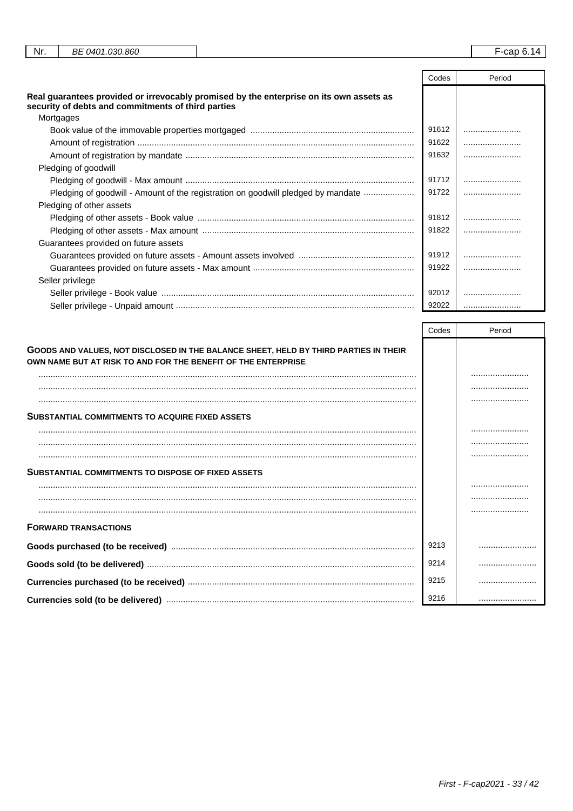| Nr.<br>BE 0401.030.860                                                                                                                        |       | $F$ -cap 6.14 |
|-----------------------------------------------------------------------------------------------------------------------------------------------|-------|---------------|
|                                                                                                                                               | Codes | Period        |
| Real guarantees provided or irrevocably promised by the enterprise on its own assets as<br>security of debts and commitments of third parties |       |               |
| Mortgages                                                                                                                                     |       |               |
|                                                                                                                                               | 91612 |               |
|                                                                                                                                               | 91622 |               |

| Pledging of goodwill<br>91712                                                                 |  |
|-----------------------------------------------------------------------------------------------|--|
|                                                                                               |  |
|                                                                                               |  |
| 91722<br>Pledging of goodwill - Amount of the registration on goodwill pledged by mandate<br> |  |
| Pledging of other assets                                                                      |  |
| 91812                                                                                         |  |
| 91822                                                                                         |  |
| Guarantees provided on future assets                                                          |  |
| 91912                                                                                         |  |
| 91922                                                                                         |  |
| Seller privilege                                                                              |  |
| 92012                                                                                         |  |
| 92022<br>                                                                                     |  |

|                                                                                                                                                       | Codes | Period |
|-------------------------------------------------------------------------------------------------------------------------------------------------------|-------|--------|
| GOODS AND VALUES, NOT DISCLOSED IN THE BALANCE SHEET, HELD BY THIRD PARTIES IN THEIR<br>OWN NAME BUT AT RISK TO AND FOR THE BENEFIT OF THE ENTERPRISE |       |        |
|                                                                                                                                                       |       |        |
|                                                                                                                                                       |       |        |
|                                                                                                                                                       |       |        |
| <b>SUBSTANTIAL COMMITMENTS TO ACQUIRE FIXED ASSETS</b>                                                                                                |       |        |
|                                                                                                                                                       |       |        |
|                                                                                                                                                       |       |        |
|                                                                                                                                                       |       |        |
| <b>SUBSTANTIAL COMMITMENTS TO DISPOSE OF FIXED ASSETS</b>                                                                                             |       |        |
|                                                                                                                                                       |       |        |
|                                                                                                                                                       |       |        |
|                                                                                                                                                       |       |        |
| <b>FORWARD TRANSACTIONS</b>                                                                                                                           |       |        |
|                                                                                                                                                       | 9213  |        |
|                                                                                                                                                       | 9214  |        |
|                                                                                                                                                       | 9215  |        |
|                                                                                                                                                       | 9216  |        |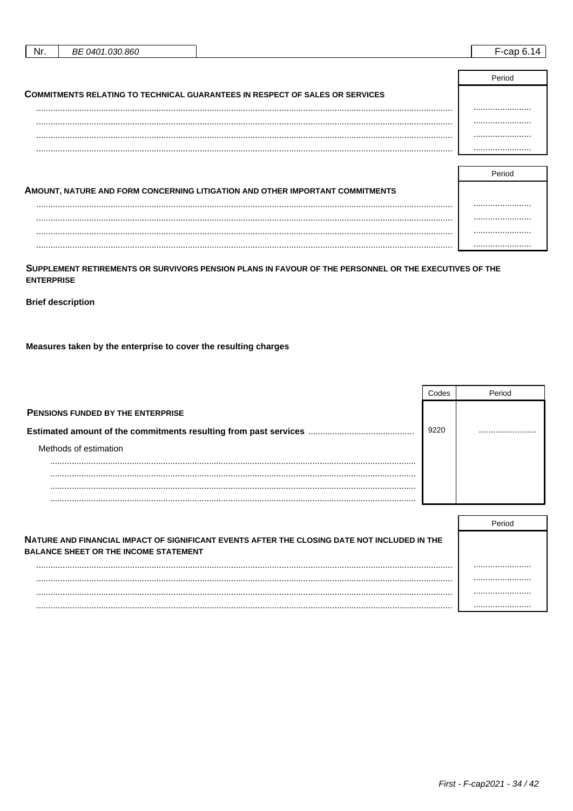| Nr. | BE 0401.030.860 |                                                                                     | $F_{\rm r}$ an 6.14 |
|-----|-----------------|-------------------------------------------------------------------------------------|---------------------|
|     |                 |                                                                                     |                     |
|     |                 |                                                                                     | Period              |
|     |                 | <b>COMMITMENTS RELATING TO TECHNICAL GUARANTEES IN RESPECT OF SALES OR SERVICES</b> |                     |
|     |                 |                                                                                     |                     |
|     |                 |                                                                                     |                     |
|     |                 |                                                                                     |                     |
|     |                 |                                                                                     |                     |
|     |                 |                                                                                     |                     |
|     |                 |                                                                                     | _                   |

| AMOUNT, NATURE AND FORM CONCERNING LITIGATION AND OTHER IMPORTANT COMMITMENTS |  |
|-------------------------------------------------------------------------------|--|
|                                                                               |  |
|                                                                               |  |
|                                                                               |  |
| .                                                                             |  |

SUPPLEMENT RETIREMENTS OR SURVIVORS PENSION PLANS IN FAVOUR OF THE PERSONNEL OR THE EXECUTIVES OF THE **ENTERPRISE** 

**Brief description** 

Measures taken by the enterprise to cover the resulting charges

|                                          | Codes | Period |
|------------------------------------------|-------|--------|
| <b>PENSIONS FUNDED BY THE ENTERPRISE</b> |       |        |
|                                          | 9220  |        |
| Methods of estimation                    |       |        |
|                                          |       |        |
|                                          |       |        |
| .                                        |       |        |

|                                                                                                                                              | Period |
|----------------------------------------------------------------------------------------------------------------------------------------------|--------|
| NATURE AND FINANCIAL IMPACT OF SIGNIFICANT EVENTS AFTER THE CLOSING DATE NOT INCLUDED IN THE<br><b>BALANCE SHEET OR THE INCOME STATEMENT</b> |        |
|                                                                                                                                              |        |
|                                                                                                                                              |        |
|                                                                                                                                              |        |
|                                                                                                                                              |        |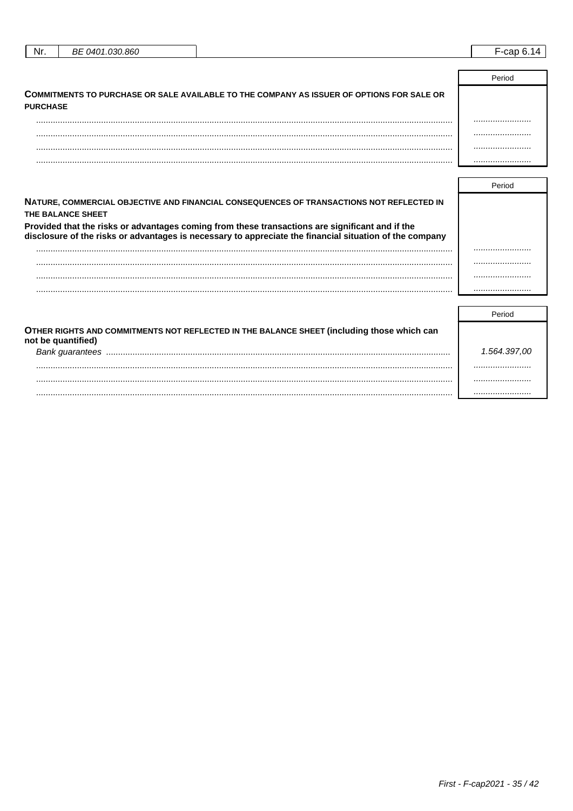| Nr. | BE 0401.030.860 | -<br>F-cap 6.14 |  |
|-----|-----------------|-----------------|--|
|     |                 |                 |  |
|     |                 | Period          |  |
| --  |                 |                 |  |

| COMMITMENTS TO PURCHASE OR SALE AVAILABLE TO THE COMPANY AS ISSUER OF OPTIONS FOR SALE OR<br><b>PURCHASE</b> |  |
|--------------------------------------------------------------------------------------------------------------|--|
|                                                                                                              |  |
|                                                                                                              |  |
|                                                                                                              |  |
|                                                                                                              |  |

| NATURE, COMMERCIAL OBJECTIVE AND FINANCIAL CONSEQUENCES OF TRANSACTIONS NOT REFLECTED IN<br>THE BALANCE SHEET                                                                                              |                               |
|------------------------------------------------------------------------------------------------------------------------------------------------------------------------------------------------------------|-------------------------------|
| Provided that the risks or advantages coming from these transactions are significant and if the<br>disclosure of the risks or advantages is necessary to appreciate the financial situation of the company |                               |
|                                                                                                                                                                                                            |                               |
|                                                                                                                                                                                                            |                               |
|                                                                                                                                                                                                            |                               |
|                                                                                                                                                                                                            |                               |
|                                                                                                                                                                                                            |                               |
|                                                                                                                                                                                                            | $\mathbf{D}$ and $\mathbf{D}$ |

|                                                                                                                  | Period       |
|------------------------------------------------------------------------------------------------------------------|--------------|
| OTHER RIGHTS AND COMMITMENTS NOT REFLECTED IN THE BALANCE SHEET (including those which can<br>not be quantified) |              |
| Bank quarantees                                                                                                  | 1.564.397,00 |
|                                                                                                                  |              |
|                                                                                                                  |              |
|                                                                                                                  |              |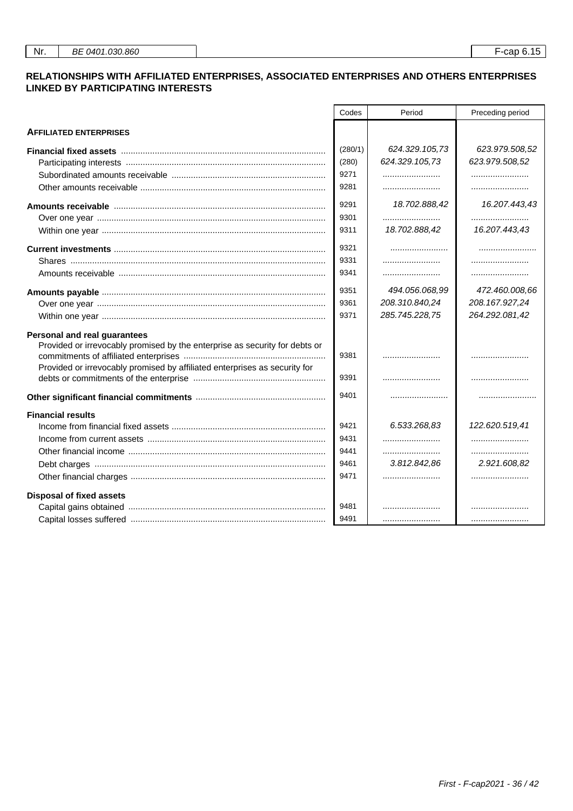### **RELATIONSHIPS WITH AFFILIATED ENTERPRISES, ASSOCIATED ENTERPRISES AND OTHERS ENTERPRISES LINKED BY PARTICIPATING INTERESTS**

|                                                                                                                | Codes   | Period         | Preceding period |
|----------------------------------------------------------------------------------------------------------------|---------|----------------|------------------|
| <b>AFFILIATED ENTERPRISES</b>                                                                                  |         |                |                  |
| Financial fixed assets measurement controlled the state of the state of the state of the state of the state of | (280/1) | 624.329.105,73 | 623.979.508,52   |
|                                                                                                                | (280)   | 624.329.105,73 | 623.979.508,52   |
|                                                                                                                | 9271    |                |                  |
|                                                                                                                | 9281    |                |                  |
|                                                                                                                | 9291    | 18.702.888,42  | 16.207.443,43    |
|                                                                                                                | 9301    |                |                  |
|                                                                                                                | 9311    | 18.702.888,42  | 16.207.443,43    |
|                                                                                                                | 9321    |                |                  |
|                                                                                                                | 9331    |                |                  |
|                                                                                                                | 9341    |                |                  |
|                                                                                                                | 9351    | 494.056.068,99 | 472.460.008,66   |
|                                                                                                                | 9361    | 208.310.840,24 | 208.167.927,24   |
|                                                                                                                | 9371    | 285.745.228,75 | 264.292.081,42   |
| <b>Personal and real guarantees</b>                                                                            |         |                |                  |
| Provided or irrevocably promised by the enterprise as security for debts or                                    |         |                |                  |
|                                                                                                                | 9381    |                |                  |
| Provided or irrevocably promised by affiliated enterprises as security for                                     | 9391    |                |                  |
|                                                                                                                |         |                |                  |
|                                                                                                                | 9401    |                |                  |
| <b>Financial results</b>                                                                                       |         |                |                  |
|                                                                                                                | 9421    | 6.533.268,83   | 122.620.519,41   |
|                                                                                                                | 9431    |                |                  |
|                                                                                                                | 9441    |                |                  |
|                                                                                                                | 9461    | 3.812.842,86   | 2.921.608,82     |
|                                                                                                                | 9471    |                |                  |
| <b>Disposal of fixed assets</b>                                                                                |         |                |                  |
|                                                                                                                | 9481    |                |                  |
|                                                                                                                | 9491    |                |                  |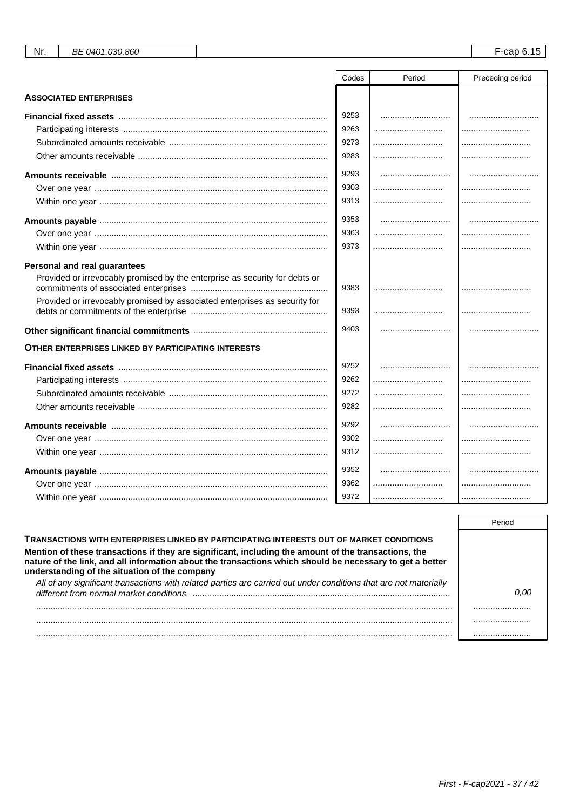|                                                                             | Codes | Period | Preceding period |
|-----------------------------------------------------------------------------|-------|--------|------------------|
| <b>ASSOCIATED ENTERPRISES</b>                                               |       |        |                  |
|                                                                             | 9253  |        |                  |
|                                                                             | 9263  |        |                  |
|                                                                             | 9273  |        |                  |
|                                                                             | 9283  |        |                  |
| Amounts receivable ……………………………………………………………………………                            | 9293  |        |                  |
|                                                                             | 9303  |        |                  |
|                                                                             | 9313  |        |                  |
|                                                                             | 9353  |        |                  |
|                                                                             | 9363  |        |                  |
|                                                                             | 9373  |        |                  |
| <b>Personal and real guarantees</b>                                         |       |        |                  |
| Provided or irrevocably promised by the enterprise as security for debts or | 9383  |        |                  |
| Provided or irrevocably promised by associated enterprises as security for  | 9393  |        |                  |
|                                                                             | 9403  |        |                  |
| <b>OTHER ENTERPRISES LINKED BY PARTICIPATING INTERESTS</b>                  |       |        |                  |
|                                                                             | 9252  |        |                  |
|                                                                             | 9262  |        |                  |
|                                                                             | 9272  |        |                  |
|                                                                             | 9282  |        |                  |
| Amounts receivable …………………………………………………………………………                             | 9292  |        |                  |
|                                                                             | 9302  |        |                  |
|                                                                             | 9312  |        |                  |
|                                                                             | 9352  |        |                  |
|                                                                             | 9362  |        |                  |
|                                                                             | 9372  |        |                  |

Nr.

BE 0401.030.860

| TRANSACTIONS WITH ENTERPRISES LINKED BY PARTICIPATING INTERESTS OUT OF MARKET CONDITIONS                                                                                                                                                                          |  |
|-------------------------------------------------------------------------------------------------------------------------------------------------------------------------------------------------------------------------------------------------------------------|--|
| Mention of these transactions if they are significant, including the amount of the transactions, the<br>nature of the link, and all information about the transactions which should be necessary to get a better<br>understanding of the situation of the company |  |
| All of any significant transactions with related parties are carried out under conditions that are not materially                                                                                                                                                 |  |
|                                                                                                                                                                                                                                                                   |  |
|                                                                                                                                                                                                                                                                   |  |
|                                                                                                                                                                                                                                                                   |  |
|                                                                                                                                                                                                                                                                   |  |

F-cap 6.15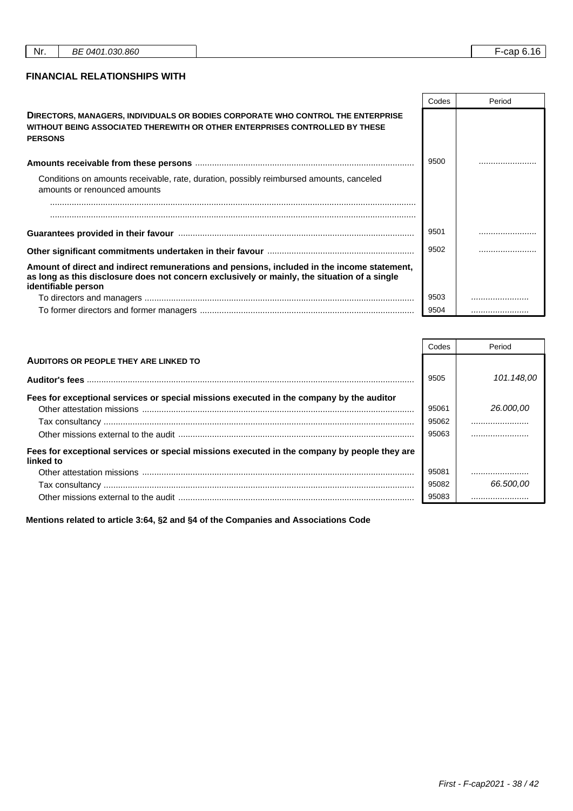٦

r

┱

### **FINANCIAL RELATIONSHIPS WITH**

|                                                                                                                                                                                                                    | Codes | Period |
|--------------------------------------------------------------------------------------------------------------------------------------------------------------------------------------------------------------------|-------|--------|
| DIRECTORS, MANAGERS, INDIVIDUALS OR BODIES CORPORATE WHO CONTROL THE ENTERPRISE<br>WITHOUT BEING ASSOCIATED THEREWITH OR OTHER ENTERPRISES CONTROLLED BY THESE<br><b>PERSONS</b>                                   |       |        |
|                                                                                                                                                                                                                    | 9500  |        |
| Conditions on amounts receivable, rate, duration, possibly reimbursed amounts, canceled<br>amounts or renounced amounts                                                                                            |       |        |
|                                                                                                                                                                                                                    |       |        |
|                                                                                                                                                                                                                    | 9501  |        |
|                                                                                                                                                                                                                    |       |        |
| Amount of direct and indirect remunerations and pensions, included in the income statement,<br>as long as this disclosure does not concern exclusively or mainly, the situation of a single<br>identifiable person |       |        |
|                                                                                                                                                                                                                    | 9503  |        |
|                                                                                                                                                                                                                    | 9504  |        |

|                                                                                                           | Codes | Period     |
|-----------------------------------------------------------------------------------------------------------|-------|------------|
| AUDITORS OR PEOPLE THEY ARE LINKED TO                                                                     |       |            |
|                                                                                                           | 9505  | 101.148,00 |
| Fees for exceptional services or special missions executed in the company by the auditor                  |       |            |
|                                                                                                           | 95061 | 26,000,00  |
|                                                                                                           | 95062 |            |
|                                                                                                           | 95063 |            |
| Fees for exceptional services or special missions executed in the company by people they are<br>linked to |       |            |
|                                                                                                           | 95081 |            |
|                                                                                                           | 95082 | 66.500,00  |
|                                                                                                           | 95083 |            |

**Mentions related to article 3:64, §2 and §4 of the Companies and Associations Code**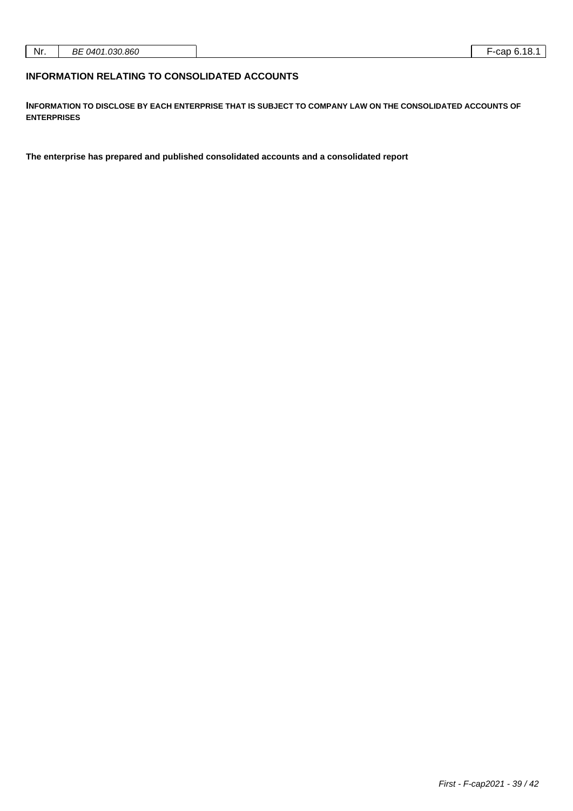| Nr. | .030.860<br>nг<br>. 0401<br>DC<br>. |  | <br>car |
|-----|-------------------------------------|--|---------|
|-----|-------------------------------------|--|---------|

### **INFORMATION RELATING TO CONSOLIDATED ACCOUNTS**

**INFORMATION TO DISCLOSE BY EACH ENTERPRISE THAT IS SUBJECT TO COMPANY LAW ON THE CONSOLIDATED ACCOUNTS OF ENTERPRISES**

**The enterprise has prepared and published consolidated accounts and a consolidated report**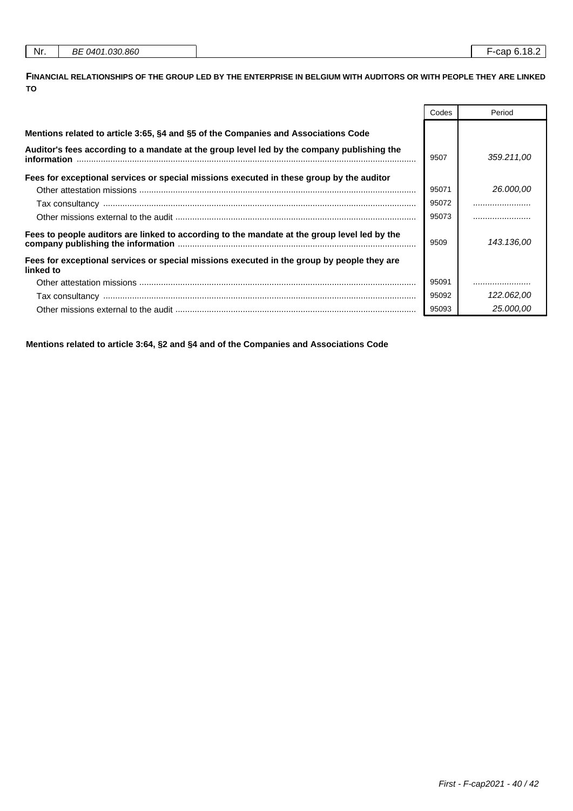| Nr. | BE 0401.030.860 |
|-----|-----------------|
|     |                 |

**FINANCIAL RELATIONSHIPS OF THE GROUP LED BY THE ENTERPRISE IN BELGIUM WITH AUDITORS OR WITH PEOPLE THEY ARE LINKED TO**

|                                                                                                           | Codes | Period     |
|-----------------------------------------------------------------------------------------------------------|-------|------------|
| Mentions related to article 3:65, §4 and §5 of the Companies and Associations Code                        |       |            |
| Auditor's fees according to a mandate at the group level led by the company publishing the<br>information | 9507  | 359.211,00 |
| Fees for exceptional services or special missions executed in these group by the auditor                  |       |            |
|                                                                                                           | 95071 | 26,000,00  |
|                                                                                                           | 95072 |            |
|                                                                                                           | 95073 |            |
| Fees to people auditors are linked to according to the mandate at the group level led by the              |       | 143.136.00 |
| Fees for exceptional services or special missions executed in the group by people they are<br>linked to   |       |            |
|                                                                                                           | 95091 |            |
|                                                                                                           | 95092 | 122.062,00 |
|                                                                                                           | 95093 | 25,000,00  |

**Mentions related to article 3:64, §2 and §4 and of the Companies and Associations Code**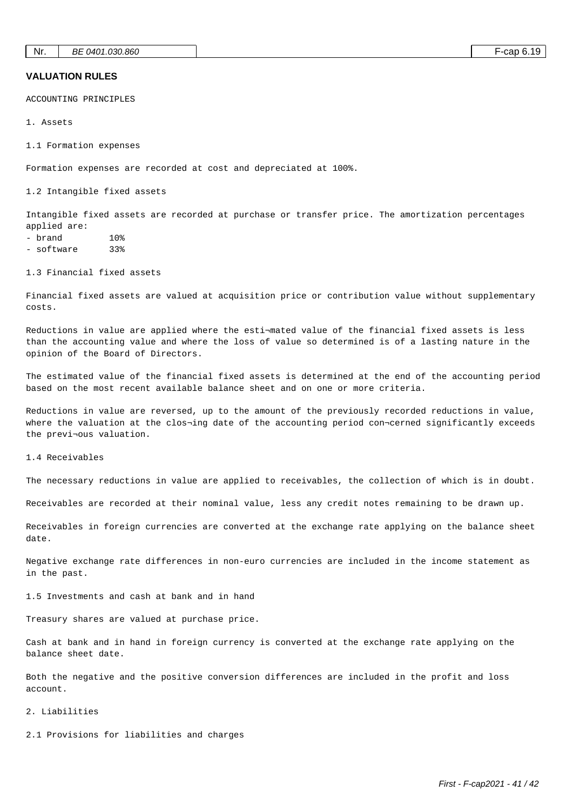### **VALUATION RULES**

ACCOUNTING PRINCIPLES

1. Assets

1.1 Formation expenses

Formation expenses are recorded at cost and depreciated at 100%.

1.2 Intangible fixed assets

Intangible fixed assets are recorded at purchase or transfer price. The amortization percentages applied are:

- brand 10%
- software 33%

1.3 Financial fixed assets

Financial fixed assets are valued at acquisition price or contribution value without supplementary costs.

Reductions in value are applied where the esti¬mated value of the financial fixed assets is less than the accounting value and where the loss of value so determined is of a lasting nature in the opinion of the Board of Directors.

The estimated value of the financial fixed assets is determined at the end of the accounting period based on the most recent available balance sheet and on one or more criteria.

Reductions in value are reversed, up to the amount of the previously recorded reductions in value, where the valuation at the clos¬ing date of the accounting period con¬cerned significantly exceeds the previ¬ous valuation.

1.4 Receivables

The necessary reductions in value are applied to receivables, the collection of which is in doubt.

Receivables are recorded at their nominal value, less any credit notes remaining to be drawn up.

Receivables in foreign currencies are converted at the exchange rate applying on the balance sheet date.

Negative exchange rate differences in non-euro currencies are included in the income statement as in the past.

1.5 Investments and cash at bank and in hand

Treasury shares are valued at purchase price.

Cash at bank and in hand in foreign currency is converted at the exchange rate applying on the balance sheet date.

Both the negative and the positive conversion differences are included in the profit and loss account.

#### 2. Liabilities

2.1 Provisions for liabilities and charges